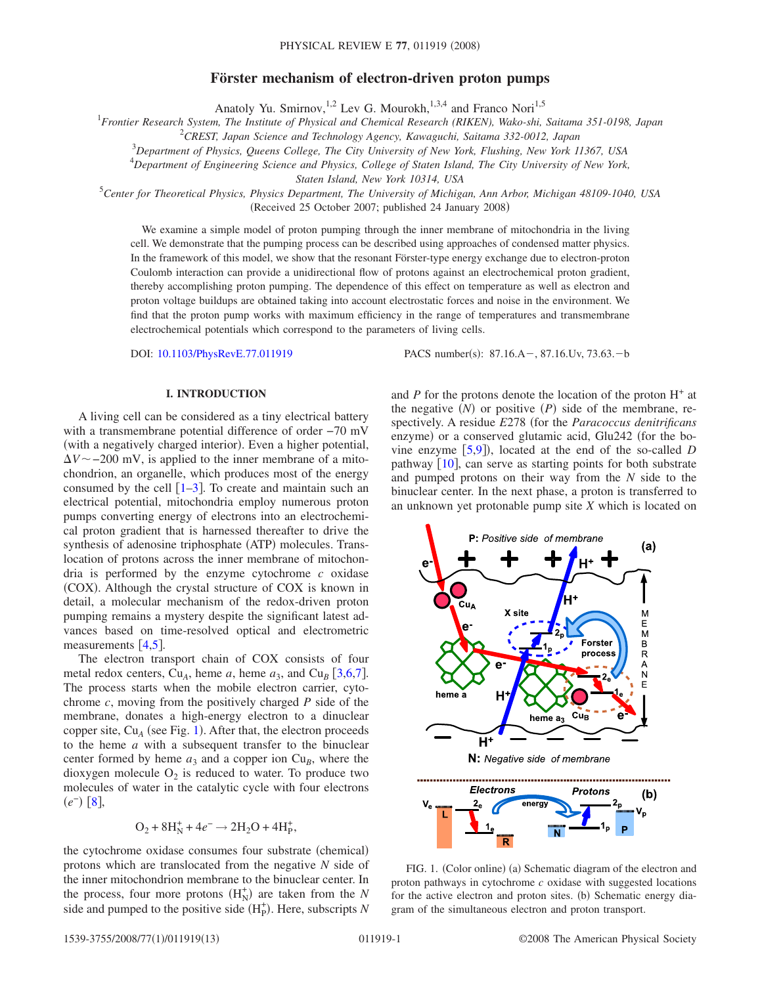# **Förster mechanism of electron-driven proton pumps**

Anatoly Yu. Smirnov,<sup>1,2</sup> Lev G. Mourokh,<sup>1,3,4</sup> and Franco Nori<sup>1,5</sup>

1 *Frontier Research System, The Institute of Physical and Chemical Research (RIKEN), Wako-shi, Saitama 351-0198, Japan*

2 *CREST, Japan Science and Technology Agency, Kawaguchi, Saitama 332-0012, Japan*

3 *Department of Physics, Queens College, The City University of New York, Flushing, New York 11367, USA*

4 *Department of Engineering Science and Physics, College of Staten Island, The City University of New York,*

*Staten Island, New York 10314, USA*

5 *Center for Theoretical Physics, Physics Department, The University of Michigan, Ann Arbor, Michigan 48109-1040, USA* (Received 25 October 2007; published 24 January 2008)

We examine a simple model of proton pumping through the inner membrane of mitochondria in the living cell. We demonstrate that the pumping process can be described using approaches of condensed matter physics. In the framework of this model, we show that the resonant Förster-type energy exchange due to electron-proton Coulomb interaction can provide a unidirectional flow of protons against an electrochemical proton gradient, thereby accomplishing proton pumping. The dependence of this effect on temperature as well as electron and proton voltage buildups are obtained taking into account electrostatic forces and noise in the environment. We find that the proton pump works with maximum efficiency in the range of temperatures and transmembrane electrochemical potentials which correspond to the parameters of living cells.

DOI: [10.1103/PhysRevE.77.011919](http://dx.doi.org/10.1103/PhysRevE.77.011919)

PACS number(s): 87.16.A - , 87.16.Uv, 73.63. - b

## **I. INTRODUCTION**

A living cell can be considered as a tiny electrical battery with a transmembrane potential difference of order −70 mV (with a negatively charged interior). Even a higher potential, -*V*−200 mV, is applied to the inner membrane of a mitochondrion, an organelle, which produces most of the energy consumed by the cell  $\lceil 1-3 \rceil$  $\lceil 1-3 \rceil$  $\lceil 1-3 \rceil$ . To create and maintain such an electrical potential, mitochondria employ numerous proton pumps converting energy of electrons into an electrochemical proton gradient that is harnessed thereafter to drive the synthesis of adenosine triphosphate (ATP) molecules. Translocation of protons across the inner membrane of mitochondria is performed by the enzyme cytochrome *c* oxidase (COX). Although the crystal structure of COX is known in detail, a molecular mechanism of the redox-driven proton pumping remains a mystery despite the significant latest advances based on time-resolved optical and electrometric measurements  $[4,5]$  $[4,5]$  $[4,5]$  $[4,5]$ .

The electron transport chain of COX consists of four metal redox centers, Cu<sub>A</sub>, heme *a*, heme *a*<sub>3</sub>, and Cu<sub>B</sub>  $[3,6,7]$  $[3,6,7]$  $[3,6,7]$  $[3,6,7]$  $[3,6,7]$ . The process starts when the mobile electron carrier, cytochrome *c*, moving from the positively charged *P* side of the membrane, donates a high-energy electron to a dinuclear copper site, Cu<sub>A</sub> (see Fig. [1](#page-0-0)). After that, the electron proceeds to the heme *a* with a subsequent transfer to the binuclear center formed by heme  $a_3$  and a copper ion Cu<sub>B</sub>, where the dioxygen molecule  $O_2$  is reduced to water. To produce two molecules of water in the catalytic cycle with four electrons  $(e^-)$  [[8](#page-12-1)],

# $O_2 + 8H_N^+ + 4e^- \rightarrow 2H_2O + 4H_P^+,$

the cytochrome oxidase consumes four substrate (chemical) protons which are translocated from the negative *N* side of the inner mitochondrion membrane to the binuclear center. In the process, four more protons  $(H_N^+)$  are taken from the *N* side and pumped to the positive side  $(H_P^+)$ . Here, subscripts  $N$ 

and  $P$  for the protons denote the location of the proton  $H^+$  at the negative  $(N)$  or positive  $(P)$  side of the membrane, respectively. A residue *E*278 for the *Paracoccus denitrificans* enzyme) or a conserved glutamic acid, Glu242 (for the bovine enzyme  $[5,9]$  $[5,9]$  $[5,9]$  $[5,9]$ ), located at the end of the so-called *D* pathway  $[10]$  $[10]$  $[10]$ , can serve as starting points for both substrate and pumped protons on their way from the *N* side to the binuclear center. In the next phase, a proton is transferred to an unknown yet protonable pump site *X* which is located on

<span id="page-0-0"></span>

FIG. 1. (Color online) (a) Schematic diagram of the electron and proton pathways in cytochrome *c* oxidase with suggested locations for the active electron and proton sites. (b) Schematic energy diagram of the simultaneous electron and proton transport.

R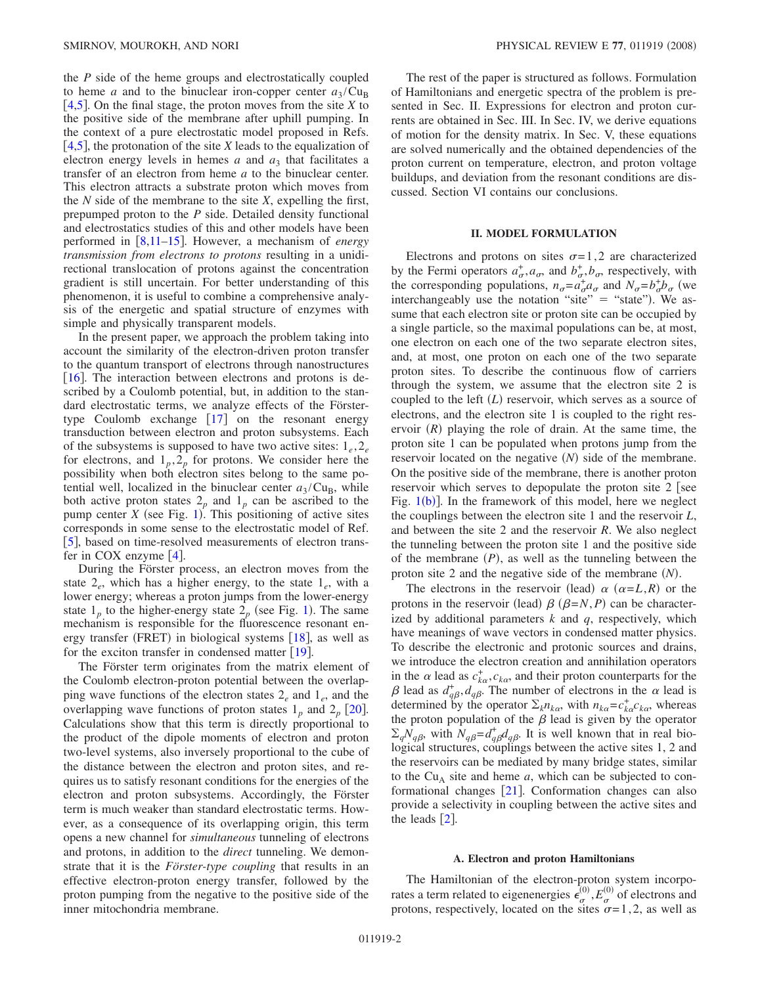the *P* side of the heme groups and electrostatically coupled to heme *a* and to the binuclear iron-copper center  $a_3/Cu_B$ [[4](#page-11-2)[,5](#page-11-3)]. On the final stage, the proton moves from the site  $X$  to the positive side of the membrane after uphill pumping. In the context of a pure electrostatic model proposed in Refs.  $[4,5]$  $[4,5]$  $[4,5]$  $[4,5]$ , the protonation of the site *X* leads to the equalization of electron energy levels in hemes  $a$  and  $a_3$  that facilitates a transfer of an electron from heme *a* to the binuclear center. This electron attracts a substrate proton which moves from the *N* side of the membrane to the site *X*, expelling the first, prepumped proton to the *P* side. Detailed density functional and electrostatics studies of this and other models have been performed in [[8,](#page-12-1)[11–](#page-12-4)[15](#page-12-5)]. However, a mechanism of *energy transmission from electrons to protons* resulting in a unidirectional translocation of protons against the concentration gradient is still uncertain. For better understanding of this phenomenon, it is useful to combine a comprehensive analysis of the energetic and spatial structure of enzymes with simple and physically transparent models.

In the present paper, we approach the problem taking into account the similarity of the electron-driven proton transfer to the quantum transport of electrons through nanostructures [[16](#page-12-6)]. The interaction between electrons and protons is described by a Coulomb potential, but, in addition to the standard electrostatic terms, we analyze effects of the Förstertype Coulomb exchange  $\lceil 17 \rceil$  $\lceil 17 \rceil$  $\lceil 17 \rceil$  on the resonant energy transduction between electron and proton subsystems. Each of the subsystems is supposed to have two active sites:  $1_e$ ,  $2_e$ for electrons, and  $1_p$ ,  $2_p$  for protons. We consider here the possibility when both electron sites belong to the same potential well, localized in the binuclear center  $a_3 / Cu_B$ , while both active proton states  $2<sub>p</sub>$  and  $1<sub>p</sub>$  can be ascribed to the pump center  $X$  (see Fig. [1](#page-0-0)). This positioning of active sites corresponds in some sense to the electrostatic model of Ref. [[5](#page-11-3)], based on time-resolved measurements of electron transfer in COX enzyme  $[4]$  $[4]$  $[4]$ .

During the Förster process, an electron moves from the state  $2_e$ , which has a higher energy, to the state  $1_e$ , with a lower energy; whereas a proton jumps from the lower-energy state  $1_p$  $1_p$  to the higher-energy state  $2_p$  (see Fig. 1). The same mechanism is responsible for the fluorescence resonant energy transfer (FRET) in biological systems  $[18]$  $[18]$  $[18]$ , as well as for the exciton transfer in condensed matter  $|19|$  $|19|$  $|19|$ .

The Förster term originates from the matrix element of the Coulomb electron-proton potential between the overlapping wave functions of the electron states  $2_e$  and  $1_e$ , and the overlapping wave functions of proton states  $1_p$  and  $2_p$  [[20](#page-12-10)]. Calculations show that this term is directly proportional to the product of the dipole moments of electron and proton two-level systems, also inversely proportional to the cube of the distance between the electron and proton sites, and requires us to satisfy resonant conditions for the energies of the electron and proton subsystems. Accordingly, the Förster term is much weaker than standard electrostatic terms. However, as a consequence of its overlapping origin, this term opens a new channel for *simultaneous* tunneling of electrons and protons, in addition to the *direct* tunneling. We demonstrate that it is the *Förster-type coupling* that results in an effective electron-proton energy transfer, followed by the proton pumping from the negative to the positive side of the inner mitochondria membrane.

The rest of the paper is structured as follows. Formulation of Hamiltonians and energetic spectra of the problem is presented in Sec. II. Expressions for electron and proton currents are obtained in Sec. III. In Sec. IV, we derive equations of motion for the density matrix. In Sec. V, these equations are solved numerically and the obtained dependencies of the proton current on temperature, electron, and proton voltage buildups, and deviation from the resonant conditions are discussed. Section VI contains our conclusions.

## **II. MODEL FORMULATION**

Electrons and protons on sites  $\sigma=1,2$  are characterized by the Fermi operators  $a^+_{\sigma}, a_{\sigma}$ , and  $b^+_{\sigma}, b_{\sigma}$ , respectively, with the corresponding populations,  $n_{\sigma} = a_{\sigma}^{\dagger} a_{\sigma}$  and  $N_{\sigma} = b_{\sigma}^{\dagger} b_{\sigma}$  (we interchangeably use the notation "site" = "state"). We assume that each electron site or proton site can be occupied by a single particle, so the maximal populations can be, at most, one electron on each one of the two separate electron sites, and, at most, one proton on each one of the two separate proton sites. To describe the continuous flow of carriers through the system, we assume that the electron site 2 is coupled to the left  $(L)$  reservoir, which serves as a source of electrons, and the electron site 1 is coupled to the right reservoir  $(R)$  playing the role of drain. At the same time, the proton site 1 can be populated when protons jump from the reservoir located on the negative  $(N)$  side of the membrane. On the positive side of the membrane, there is another proton reservoir which serves to depopulate the proton site  $2 \text{ [see]}$ Fig.  $1(b)$  $1(b)$ ]. In the framework of this model, here we neglect the couplings between the electron site 1 and the reservoir *L*, and between the site 2 and the reservoir *R*. We also neglect the tunneling between the proton site 1 and the positive side of the membrane  $(P)$ , as well as the tunneling between the proton site 2 and the negative side of the membrane (N).

The electrons in the reservoir (lead)  $\alpha$  ( $\alpha = L, R$ ) or the protons in the reservoir (lead)  $\beta$  ( $\beta = N, P$ ) can be characterized by additional parameters *k* and *q*, respectively, which have meanings of wave vectors in condensed matter physics. To describe the electronic and protonic sources and drains, we introduce the electron creation and annihilation operators in the  $\alpha$  lead as  $c_{k\alpha}^{\dagger}, c_{k\alpha}$ , and their proton counterparts for the  $\beta$  lead as  $d_{q\beta}^+$ ,  $d_{q\beta}$ . The number of electrons in the  $\alpha$  lead is determined by the operator  $\Sigma_k n_{k\alpha}$ , with  $n_{k\alpha} = c_{k\alpha}^{\dagger} c_{k\alpha}$ , whereas the proton population of the  $\beta$  lead is given by the operator  $\Sigma_q N_{q\beta}$ , with  $N_{q\beta} = d_{q\beta}^{\dagger} d_{q\beta}$ . It is well known that in real biological structures, couplings between the active sites 1, 2 and the reservoirs can be mediated by many bridge states, similar to the Cu<sub>A</sub> site and heme  $a$ , which can be subjected to conformational changes  $[21]$  $[21]$  $[21]$ . Conformation changes can also provide a selectivity in coupling between the active sites and the leads  $[2]$  $[2]$  $[2]$ .

### **A. Electron and proton Hamiltonians**

The Hamiltonian of the electron-proton system incorporates a term related to eigenenergies  $\epsilon_{\sigma}^{(0)}$ ,  $E_{\sigma}^{(0)}$  of electrons and protons, respectively, located on the sites  $\sigma=1,2$ , as well as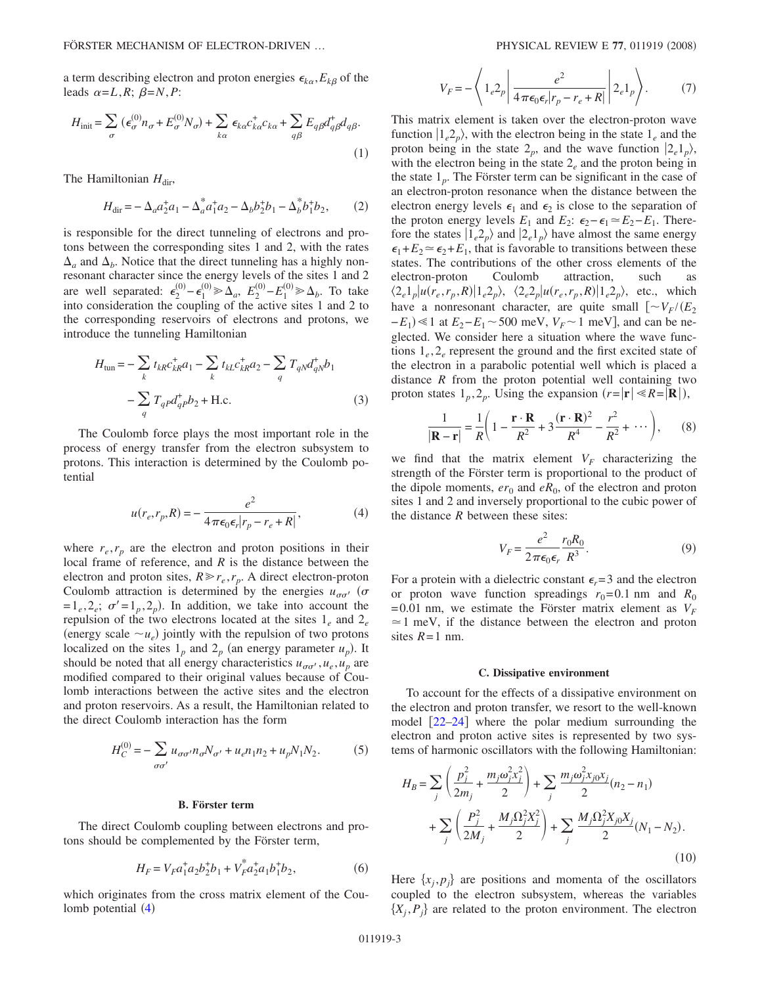a term describing electron and proton energies  $\epsilon_{k\alpha}$ ,  $E_{k\beta}$  of the leads  $\alpha = L, R$ ;  $\beta = N, P$ :

$$
H_{\text{init}} = \sum_{\sigma} \left( \epsilon_{\sigma}^{(0)} n_{\sigma} + E_{\sigma}^{(0)} N_{\sigma} \right) + \sum_{k\alpha} \epsilon_{k\alpha} c_{k\alpha}^{+} c_{k\alpha} + \sum_{q\beta} E_{q\beta} d_{q\beta}^{+} d_{q\beta}.
$$
\n(1)

The Hamiltonian  $H_{\text{dir}}$ ,

$$
H_{\rm dir} = -\Delta_a a_2^{\dagger} a_1 - \Delta_a^{\dagger} a_1^{\dagger} a_2 - \Delta_b b_2^{\dagger} b_1 - \Delta_b^{\dagger} b_1^{\dagger} b_2, \tag{2}
$$

is responsible for the direct tunneling of electrons and protons between the corresponding sites 1 and 2, with the rates  $\Delta_a$  and  $\Delta_b$ . Notice that the direct tunneling has a highly nonresonant character since the energy levels of the sites 1 and 2 are well separated:  $\epsilon_2^{(0)} - \epsilon_1^{(0)} \ge \Delta_a$ ,  $E_2^{(0)} - E_1^{(0)} \ge \Delta_b$ . To take into consideration the coupling of the active sites 1 and 2 to the corresponding reservoirs of electrons and protons, we introduce the tunneling Hamiltonian

<span id="page-2-3"></span>
$$
H_{\text{tun}} = -\sum_{k} t_{kR} c_{kR}^{+} a_1 - \sum_{k} t_{kL} c_{kR}^{+} a_2 - \sum_{q} T_{qN} d_{qN}^{+} b_1
$$

$$
-\sum_{q} T_{qP} d_{qP}^{+} b_2 + \text{H.c.}
$$
(3)

The Coulomb force plays the most important role in the process of energy transfer from the electron subsystem to protons. This interaction is determined by the Coulomb potential

$$
u(r_e, r_p, R) = -\frac{e^2}{4\pi\epsilon_0\epsilon_r|r_p - r_e + R|},
$$
\n(4)

<span id="page-2-0"></span>where  $r_e$ ,  $r_p$  are the electron and proton positions in their local frame of reference, and *R* is the distance between the electron and proton sites,  $R \ge r_e$ ,  $r_p$ . A direct electron-proton Coulomb attraction is determined by the energies  $u_{\sigma\sigma'}$  ( $\sigma$  $=1_e, 2_e$ ;  $\sigma' = 1_p, 2_p$ ). In addition, we take into account the repulsion of the two electrons located at the sites  $1_e$  and  $2_e$ (energy scale  $\sim u_e$ ) jointly with the repulsion of two protons localized on the sites  $1_p$  and  $2_p$  (an energy parameter  $u_p$ ). It should be noted that all energy characteristics  $u_{\sigma\sigma}$ ,  $u_e$ ,  $u_p$  are modified compared to their original values because of Coulomb interactions between the active sites and the electron and proton reservoirs. As a result, the Hamiltonian related to the direct Coulomb interaction has the form

$$
H_C^{(0)} = -\sum_{\sigma\sigma'} u_{\sigma\sigma'} n_{\sigma} N_{\sigma'} + u_e n_1 n_2 + u_p N_1 N_2.
$$
 (5)

#### **B. Förster term**

The direct Coulomb coupling between electrons and protons should be complemented by the Förster term,

$$
H_F = V_F a_1^{\dagger} a_2 b_2^{\dagger} b_1 + V_F^* a_2^{\dagger} a_1 b_1^{\dagger} b_2, \tag{6}
$$

which originates from the cross matrix element of the Coulomb potential  $(4)$  $(4)$  $(4)$ 

$$
V_F = -\left\langle 1_e 2_p \left| \frac{e^2}{4\pi\epsilon_0 \epsilon_r |r_p - r_e + R|} \right| 2_e 1_p \right\rangle. \tag{7}
$$

<span id="page-2-4"></span>This matrix element is taken over the electron-proton wave function  $|1_e2_p\rangle$ , with the electron being in the state  $1_e$  and the proton being in the state  $2_p$ , and the wave function  $|2_e1_p\rangle$ , with the electron being in the state  $2_e$  and the proton being in the state 1*p*. The Förster term can be significant in the case of an electron-proton resonance when the distance between the electron energy levels  $\epsilon_1$  and  $\epsilon_2$  is close to the separation of the proton energy levels  $E_1$  and  $E_2$ :  $\epsilon_2 - \epsilon_1 \approx E_2 - E_1$ . Therefore the states  $|1_e2_p\rangle$  and  $|2_e1_p\rangle$  have almost the same energy  $\epsilon_1 + E_2 \approx \epsilon_2 + E_1$ , that is favorable to transitions between these states. The contributions of the other cross elements of the electron-proton Coulomb attraction, such as  $\langle 2_e 1_p | u(r_e, r_p, R) | 1_e 2_p \rangle$ ,  $\langle 2_e 2_p | u(r_e, r_p, R) | 1_e 2_p \rangle$ , etc., which have a nonresonant character, are quite small  $\left[\sim V_F/(E_2)\right]$  $-E_1$ )  $\leq 1$  at  $E_2 - E_1 \sim 500$  meV,  $V_F \sim 1$  meV], and can be neglected. We consider here a situation where the wave functions  $1_e$ ,  $2_e$  represent the ground and the first excited state of the electron in a parabolic potential well which is placed a distance *R* from the proton potential well containing two proton states  $1_p, 2_p$ . Using the expansion  $(r=|\mathbf{r}| \ll R = |\mathbf{R}|)$ ,

$$
\frac{1}{|\mathbf{R} - \mathbf{r}|} = \frac{1}{R} \left( 1 - \frac{\mathbf{r} \cdot \mathbf{R}}{R^2} + 3 \frac{(\mathbf{r} \cdot \mathbf{R})^2}{R^4} - \frac{r^2}{R^2} + \cdots \right), \tag{8}
$$

we find that the matrix element  $V_F$  characterizing the strength of the Förster term is proportional to the product of the dipole moments,  $er_0$  and  $eR_0$ , of the electron and proton sites 1 and 2 and inversely proportional to the cubic power of the distance *R* between these sites:

$$
V_F = \frac{e^2}{2\pi\epsilon_0\epsilon_r} \frac{r_0 R_0}{R^3}.
$$
 (9)

<span id="page-2-2"></span>For a protein with a dielectric constant  $\epsilon_r$ =3 and the electron or proton wave function spreadings  $r_0=0.1$  nm and  $R_0$  $=0.01$  nm, we estimate the Förster matrix element as  $V_F$  $\approx$  1 meV, if the distance between the electron and proton sites  $R=1$  nm.

#### **C. Dissipative environment**

To account for the effects of a dissipative environment on the electron and proton transfer, we resort to the well-known model  $[22-24]$  $[22-24]$  $[22-24]$  where the polar medium surrounding the electron and proton active sites is represented by two systems of harmonic oscillators with the following Hamiltonian:

<span id="page-2-1"></span>
$$
H_B = \sum_j \left( \frac{p_j^2}{2m_j} + \frac{m_j \omega_j^2 x_j^2}{2} \right) + \sum_j \frac{m_j \omega_j^2 x_j \omega_j}{2} (n_2 - n_1)
$$
  
+ 
$$
\sum_j \left( \frac{P_j^2}{2M_j} + \frac{M_j \Omega_j^2 x_j^2}{2} \right) + \sum_j \frac{M_j \Omega_j^2 x_j \omega_j}{2} (N_1 - N_2).
$$
 (10)

Here  $\{x_i, p_j\}$  are positions and momenta of the oscillators coupled to the electron subsystem, whereas the variables  $\{X_i, P_j\}$  are related to the proton environment. The electron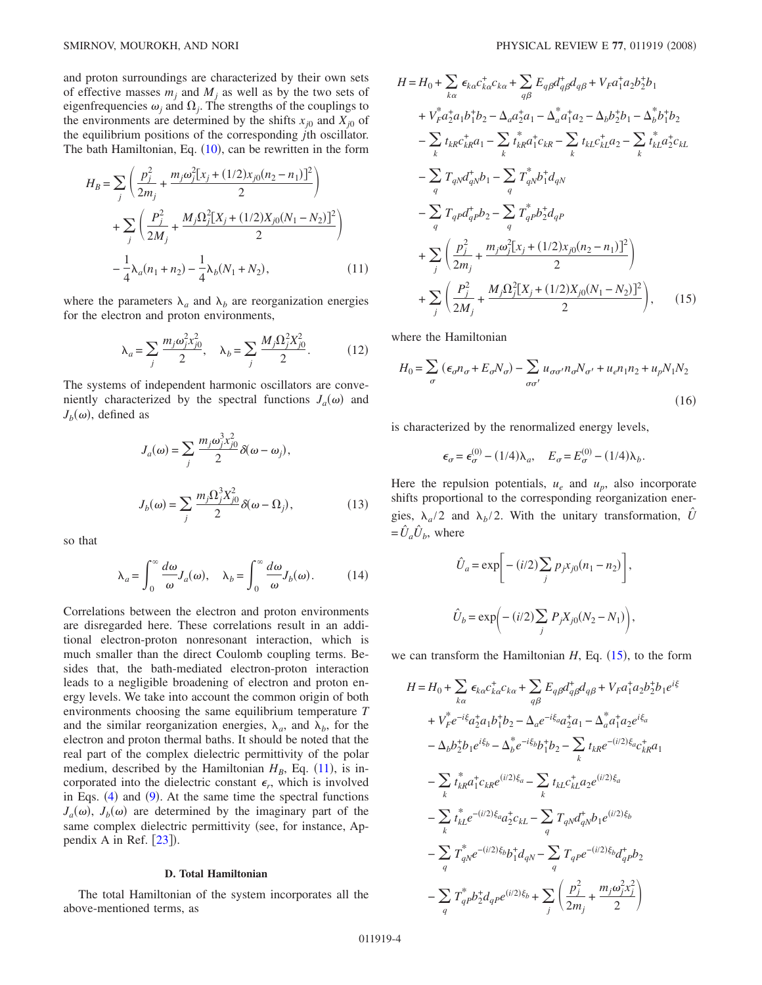and proton surroundings are characterized by their own sets of effective masses  $m_j$  and  $M_j$  as well as by the two sets of eigenfrequencies  $\omega_i$  and  $\Omega_i$ . The strengths of the couplings to the environments are determined by the shifts  $x_{i0}$  and  $X_{i0}$  of the equilibrium positions of the corresponding *j*th oscillator. The bath Hamiltonian, Eq.  $(10)$  $(10)$  $(10)$ , can be rewritten in the form

<span id="page-3-0"></span>
$$
H_B = \sum_j \left( \frac{p_j^2}{2m_j} + \frac{m_j \omega_j^2 [x_j + (1/2)x_{j0}(n_2 - n_1)]^2}{2} \right)
$$
  
+ 
$$
\sum_j \left( \frac{P_j^2}{2M_j} + \frac{M_j \Omega_j^2 [X_j + (1/2)X_{j0}(N_1 - N_2)]^2}{2} \right)
$$
  
- 
$$
\frac{1}{4} \lambda_a(n_1 + n_2) - \frac{1}{4} \lambda_b(N_1 + N_2),
$$
 (11)

where the parameters  $\lambda_a$  and  $\lambda_b$  are reorganization energies for the electron and proton environments,

$$
\lambda_a = \sum_j \frac{m_j \omega_j^2 x_{j0}^2}{2}, \quad \lambda_b = \sum_j \frac{M_j \Omega_j^2 x_{j0}^2}{2}.
$$
 (12)

The systems of independent harmonic oscillators are conveniently characterized by the spectral functions  $J_a(\omega)$  and  $J_b(\omega)$ , defined as

$$
J_a(\omega) = \sum_j \frac{m_j \omega_j^3 x_{j0}^2}{2} \delta(\omega - \omega_j),
$$
  

$$
J_b(\omega) = \sum_j \frac{m_j \Omega_j^3 X_{j0}^2}{2} \delta(\omega - \Omega_j),
$$
 (13)

so that

$$
\lambda_a = \int_0^\infty \frac{d\omega}{\omega} J_a(\omega), \quad \lambda_b = \int_0^\infty \frac{d\omega}{\omega} J_b(\omega). \tag{14}
$$

Correlations between the electron and proton environments are disregarded here. These correlations result in an additional electron-proton nonresonant interaction, which is much smaller than the direct Coulomb coupling terms. Besides that, the bath-mediated electron-proton interaction leads to a negligible broadening of electron and proton energy levels. We take into account the common origin of both environments choosing the same equilibrium temperature *T* and the similar reorganization energies,  $\lambda_a$ , and  $\lambda_b$ , for the electron and proton thermal baths. It should be noted that the real part of the complex dielectric permittivity of the polar medium, described by the Hamiltonian  $H_B$ , Eq. ([11](#page-3-0)), is incorporated into the dielectric constant  $\epsilon_r$ , which is involved in Eqs.  $(4)$  $(4)$  $(4)$  and  $(9)$  $(9)$  $(9)$ . At the same time the spectral functions  $J_a(\omega)$ ,  $J_b(\omega)$  are determined by the imaginary part of the same complex dielectric permittivity (see, for instance, Appendix A in Ref.  $[23]$  $[23]$  $[23]$ ).

## **D. Total Hamiltonian**

The total Hamiltonian of the system incorporates all the above-mentioned terms, as

<span id="page-3-1"></span>
$$
H = H_0 + \sum_{k\alpha} \epsilon_{k\alpha} c_{k\alpha}^+ c_{k\alpha} + \sum_{q\beta} E_{q\beta} d_{q\beta}^+ d_{q\beta} + V_F a_1^+ a_2 b_2^+ b_1
$$
  
+  $V_F^* a_2^+ a_1 b_1^+ b_2 - \Delta_a a_2^+ a_1 - \Delta_a^* a_1^+ a_2 - \Delta_b b_2^+ b_1 - \Delta_b^* b_1^+ b_2$   
-  $\sum_k t_{kR} c_{kR}^+ a_1 - \sum_k t_{kR}^+ a_1^+ c_{kR} - \sum_k t_{kL} c_{kL}^+ a_2 - \sum_k t_{kL}^+ a_2^+ c_{kL}$   
-  $\sum_q T_{qN} d_{qN}^+ b_1 - \sum_q T_{qN}^* b_1^+ d_{qN}$   
-  $\sum_q T_{qP} d_{qP}^+ b_2 - \sum_q T_{qP}^* b_2^+ d_{qP}$   
+  $\sum_j \left( \frac{p_j^2}{2m_j} + \frac{m_j \omega_j^2 [x_j + (1/2)x_{j0}(n_2 - n_1)]^2}{2} \right)$   
+  $\sum_j \left( \frac{P_j^2}{2M_j} + \frac{M_j \Omega_j^2 [X_j + (1/2)X_{j0}(N_1 - N_2)]^2}{2} \right)$ , (15)

where the Hamiltonian

<span id="page-3-2"></span>
$$
H_0 = \sum_{\sigma} \left( \epsilon_{\sigma} n_{\sigma} + E_{\sigma} N_{\sigma} \right) - \sum_{\sigma \sigma'} u_{\sigma \sigma'} n_{\sigma} N_{\sigma'} + u_e n_1 n_2 + u_p N_1 N_2
$$
\n(16)

is characterized by the renormalized energy levels,

$$
\epsilon_{\sigma} = \epsilon_{\sigma}^{(0)} - (1/4)\lambda_a, \quad E_{\sigma} = E_{\sigma}^{(0)} - (1/4)\lambda_b.
$$

Here the repulsion potentials,  $u_e$  and  $u_p$ , also incorporate shifts proportional to the corresponding reorganization energies,  $\lambda_a/2$  and  $\lambda_b/2$ . With the unitary transformation, *U*  $=\hat{U}_a \hat{U}_b$ , where

$$
\hat{U}_a = \exp\bigg[-(i/2)\sum_j p_j x_{j0}(n_1 - n_2)\bigg],
$$
  

$$
\hat{U}_b = \exp\bigg(-(i/2)\sum_j P_j X_{j0}(N_2 - N_1)\bigg),
$$

we can transform the Hamiltonian  $H$ , Eq.  $(15)$  $(15)$  $(15)$ , to the form

$$
H = H_0 + \sum_{k\alpha} \epsilon_{k\alpha} c_{k\alpha}^+ c_{k\alpha} + \sum_{q\beta} E_{q\beta} d_{q\beta}^+ d_{q\beta} + V_F a_1^+ a_2 b_2^+ b_1 e^{i\xi}
$$
  
+  $V_F^* e^{-i\xi} a_2^+ a_1 b_1^+ b_2 - \Delta_a e^{-i\xi_a} a_2^+ a_1 - \Delta_a^* a_1^+ a_2 e^{i\xi_a}$   
-  $\Delta_b b_2^+ b_1 e^{i\xi_b} - \Delta_b^* e^{-i\xi_b} b_1^+ b_2 - \sum_k t_{kR} e^{-(i/2)\xi_a} c_{kR}^+ a_1$   
-  $\sum_k t_{kR}^* a_1^+ c_{kR} e^{(i/2)\xi_a} - \sum_k t_{kL} c_{kL}^+ a_2 e^{(i/2)\xi_a}$   
-  $\sum_k t_{kL}^* e^{-(i/2)\xi_a} a_2^+ c_{kL} - \sum_q T_{qN} d_{qN}^+ b_1 e^{(i/2)\xi_b}$   
-  $\sum_q T_{qN}^* e^{-(i/2)\xi_b} b_1^+ d_{qN} - \sum_q T_{qP} e^{-(i/2)\xi_b} d_{qP}^+ b_2$   
-  $\sum_q T_{qP}^* b_2^+ d_{qP} e^{(i/2)\xi_b} + \sum_j \left( \frac{p_j^2}{2m_j} + \frac{m_j \omega_j^2 x_j^2}{2} \right)$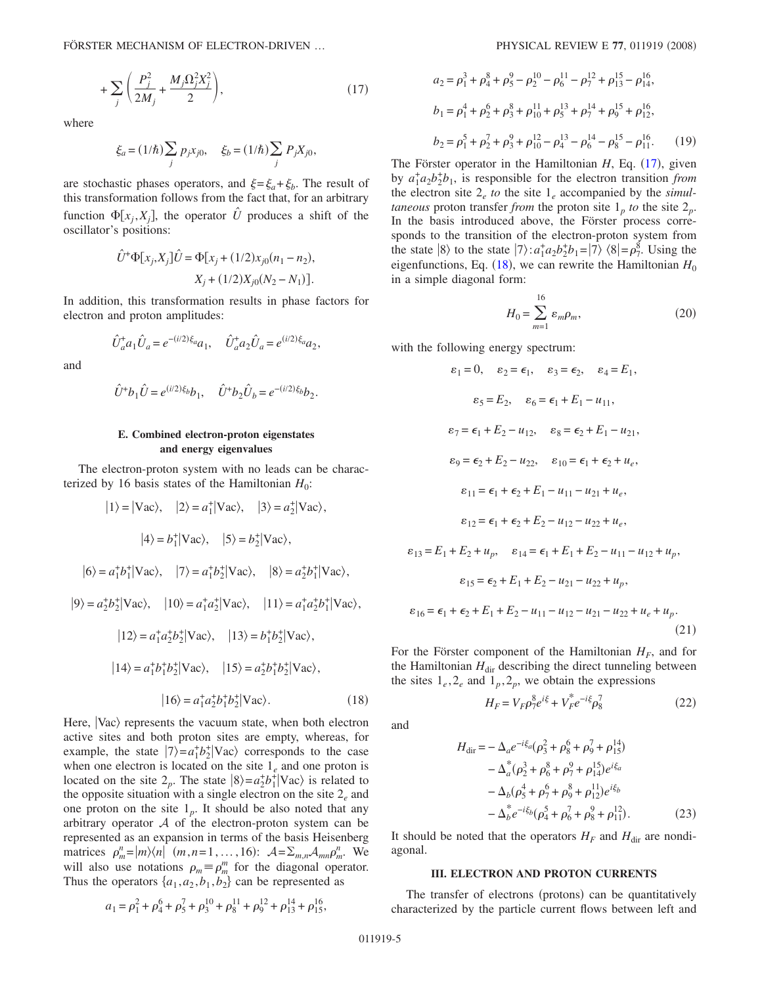FÖRSTER MECHANISM OF ELECTRON-DRIVEN ...

$$
+\sum_{j}\left(\frac{P_{j}^{2}}{2M_{j}}+\frac{M_{j}\Omega_{j}^{2}X_{j}^{2}}{2}\right),\tag{17}
$$

where

$$
\xi_a = (1/\hbar) \sum_j p_j x_{j0}, \quad \xi_b = (1/\hbar) \sum_j P_j X_{j0},
$$

are stochastic phases operators, and  $\xi = \xi_a + \xi_b$ . The result of this transformation follows from the fact that, for an arbitrary function  $\Phi[x_i, X_i]$ , the operator *U* produces a shift of the oscillator's positions:

$$
\hat{U}^+\Phi[x_j, X_j]\hat{U} = \Phi[x_j + (1/2)x_{j0}(n_1 - n_2),
$$
  

$$
X_j + (1/2)X_{j0}(N_2 - N_1)].
$$

In addition, this transformation results in phase factors for electron and proton amplitudes:

$$
\hat{U}_a^+ a_1 \hat{U}_a = e^{-(i/2)\xi_a} a_1, \quad \hat{U}_a^+ a_2 \hat{U}_a = e^{(i/2)\xi_a} a_2,
$$

and

$$
\hat{U}^+b_1\hat{U}=e^{(i/2)\xi_b}b_1,\quad \hat{U}^+b_2\hat{U}_b=e^{-(i/2)\xi_b}b_2.
$$

## **E. Combined electron-proton eigenstates and energy eigenvalues**

The electron-proton system with no leads can be characterized by 16 basis states of the Hamiltonian  $H_0$ :

<span id="page-4-0"></span>
$$
|1\rangle = |\text{Vac}\rangle, \quad |2\rangle = a_1^+ |\text{Vac}\rangle, \quad |3\rangle = a_2^+ |\text{Vac}\rangle,
$$
  

$$
|4\rangle = b_1^+ |\text{Vac}\rangle, \quad |5\rangle = b_2^+ |\text{Vac}\rangle,
$$
  

$$
|6\rangle = a_1^+ b_1^+ |\text{Vac}\rangle, \quad |7\rangle = a_1^+ b_2^+ |\text{Vac}\rangle, \quad |8\rangle = a_2^+ b_1^+ |\text{Vac}\rangle,
$$
  

$$
|9\rangle = a_2^+ b_2^+ |\text{Vac}\rangle, \quad |10\rangle = a_1^+ a_2^+ |\text{Vac}\rangle, \quad |11\rangle = a_1^+ a_2^+ b_1^+ |\text{Vac}\rangle,
$$
  

$$
|12\rangle = a_1^+ a_2^+ b_2^+ |\text{Vac}\rangle, \quad |15\rangle = a_2^+ b_1^+ b_2^+ |\text{Vac}\rangle,
$$
  

$$
|16\rangle = a_1^+ a_2^+ b_1^+ b_2^+ |\text{Vac}\rangle.
$$
 (18)

Here,  $\langle \text{Vac} \rangle$  represents the vacuum state, when both electron active sites and both proton sites are empty, whereas, for example, the state  $|7\rangle = a_1^{\dagger} b_2^{\dagger} | \text{Vac} \rangle$  corresponds to the case when one electron is located on the site  $1_e$  and one proton is located on the site  $2_p$ . The state  $|8\rangle = a_2^{\dagger} b_1^{\dagger} |\text{Vac}\rangle$  is related to the opposite situation with a single electron on the site  $2_e$  and one proton on the site  $1<sub>p</sub>$ . It should be also noted that any arbitrary operator  $A$  of the electron-proton system can be represented as an expansion in terms of the basis Heisenberg matrices  $\rho_m^n = |m\rangle\langle n| \ (m, n = 1, \ldots, 16)$ :  $\mathcal{A} = \sum_{m,n} \mathcal{A}_{mn} \rho_m^n$ . We will also use notations  $\rho_m \equiv \rho_m^m$  for the diagonal operator. Thus the operators  $\{a_1, a_2, b_1, b_2\}$  can be represented as

<span id="page-4-1"></span>
$$
a_1 = \rho_1^2 + \rho_4^6 + \rho_5^7 + \rho_3^{10} + \rho_8^{11} + \rho_9^{12} + \rho_{13}^{14} + \rho_{15}^{16},
$$

$$
a_2 = \rho_1^3 + \rho_4^8 + \rho_5^9 - \rho_2^{10} - \rho_6^{11} - \rho_7^{12} + \rho_{13}^{15} - \rho_{14}^{16},
$$
  
\n
$$
b_1 = \rho_1^4 + \rho_2^6 + \rho_3^8 + \rho_{10}^{11} + \rho_5^{13} + \rho_7^{14} + \rho_9^{15} + \rho_{12}^{16},
$$
  
\n
$$
b_2 = \rho_1^5 + \rho_2^7 + \rho_3^9 + \rho_{10}^{12} - \rho_4^{13} - \rho_6^{14} - \rho_8^{15} - \rho_{11}^{16}. \tag{19}
$$

The Förster operator in the Hamiltonian  $H$ , Eq.  $(17)$  $(17)$  $(17)$ , given by  $a_1^{\dagger} a_2 b_2^{\dagger} b_1$ , is responsible for the electron transition *from* the electron site  $2_e$  *to* the site  $1_e$  accompanied by the *simultaneous* proton transfer *from* the proton site  $1<sub>p</sub>$  *to* the site  $2<sub>p</sub>$ . In the basis introduced above, the Förster process corresponds to the transition of the electron-proton system from the state  $|8\rangle$  to the state  $|7\rangle$ :  $a_1^{\dagger}a_2b_2^{\dagger}b_1=|7\rangle$   $\langle 8| = \rho_7^8$ . Using the eigenfunctions, Eq.  $(18)$  $(18)$  $(18)$ , we can rewrite the Hamiltonian  $H_0$ in a simple diagonal form:

$$
H_0 = \sum_{m=1}^{16} \varepsilon_m \rho_m,
$$
 (20)

with the following energy spectrum:

$$
\varepsilon_{1} = 0, \quad \varepsilon_{2} = \epsilon_{1}, \quad \varepsilon_{3} = \epsilon_{2}, \quad \varepsilon_{4} = E_{1},
$$
\n
$$
\varepsilon_{5} = E_{2}, \quad \varepsilon_{6} = \epsilon_{1} + E_{1} - u_{11},
$$
\n
$$
\varepsilon_{7} = \epsilon_{1} + E_{2} - u_{12}, \quad \varepsilon_{8} = \epsilon_{2} + E_{1} - u_{21},
$$
\n
$$
\varepsilon_{9} = \epsilon_{2} + E_{2} - u_{22}, \quad \varepsilon_{10} = \epsilon_{1} + \epsilon_{2} + u_{e},
$$
\n
$$
\varepsilon_{11} = \epsilon_{1} + \epsilon_{2} + E_{1} - u_{11} - u_{21} + u_{e},
$$
\n
$$
\varepsilon_{12} = \epsilon_{1} + \epsilon_{2} + E_{2} - u_{12} - u_{22} + u_{e},
$$
\n
$$
\varepsilon_{13} = E_{1} + E_{2} + u_{p}, \quad \varepsilon_{14} = \epsilon_{1} + E_{1} + E_{2} - u_{11} - u_{12} + u_{p},
$$
\n
$$
\varepsilon_{15} = \epsilon_{2} + E_{1} + E_{2} - u_{21} - u_{22} + u_{p},
$$
\n
$$
\varepsilon_{16} = \epsilon_{1} + \epsilon_{2} + E_{1} + E_{2} - u_{11} - u_{12} - u_{21} - u_{22} + u_{e} + u_{p}.
$$
\n(21)

For the Förster component of the Hamiltonian  $H_F$ , and for the Hamiltonian  $H_{\text{dir}}$  describing the direct tunneling between the sites  $1_e$ ,  $2_e$  and  $1_p$ ,  $2_p$ , we obtain the expressions

 $H_F = V_F \rho_7^8 e^{i\xi} + V_F^* e^{-i\xi} \rho_8^7$ 

and

$$
H_{\text{dir}} = -\Delta_a e^{-i\xi_a} (\rho_3^2 + \rho_8^6 + \rho_9^7 + \rho_{15}^{14})
$$
  
\n
$$
-\Delta_a^*(\rho_2^3 + \rho_6^8 + \rho_7^9 + \rho_{14}^{15}) e^{i\xi_a}
$$
  
\n
$$
-\Delta_b(\rho_5^4 + \rho_7^6 + \rho_9^8 + \rho_{12}^{11}) e^{i\xi_b}
$$
  
\n
$$
-\Delta_b^* e^{-i\xi_b} (\rho_4^5 + \rho_6^7 + \rho_8^9 + \rho_{11}^{12}).
$$
\n(23)

 $\frac{7}{8}$  (22)

It should be noted that the operators  $H_F$  and  $H_{\text{dir}}$  are nondiagonal.

### **III. ELECTRON AND PROTON CURRENTS**

The transfer of electrons (protons) can be quantitatively characterized by the particle current flows between left and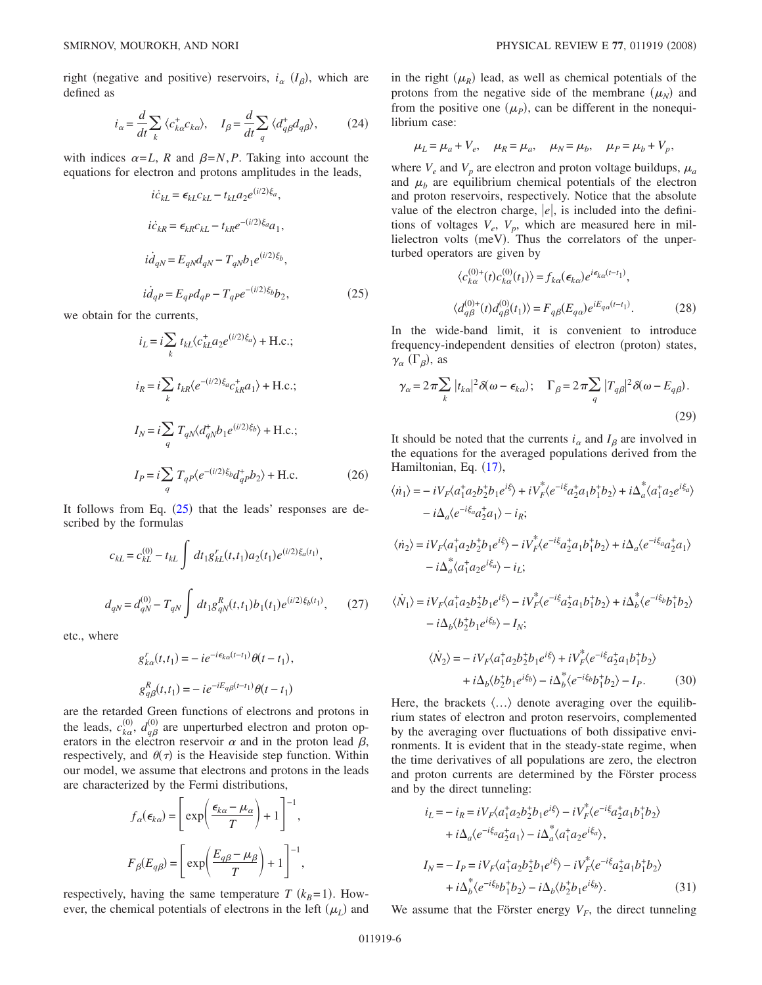<span id="page-5-2"></span>right (negative and positive) reservoirs,  $i_{\alpha}$  ( $I_{\beta}$ ), which are defined as

$$
i_{\alpha} = \frac{d}{dt} \sum_{k} \langle c_{k\alpha}^{+} c_{k\alpha} \rangle, \quad I_{\beta} = \frac{d}{dt} \sum_{q} \langle d_{q\beta}^{+} d_{q\beta} \rangle, \tag{24}
$$

<span id="page-5-0"></span>with indices  $\alpha = L$ , *R* and  $\beta = N$ , *P*. Taking into account the equations for electron and protons amplitudes in the leads,

$$
i\dot{c}_{kL} = \epsilon_{kL}c_{kL} - t_{kL}a_2e^{(i/2)\xi_a},
$$
  
\n
$$
i\dot{c}_{kR} = \epsilon_{kR}c_{kL} - t_{kR}e^{-(i/2)\xi_a}a_1,
$$
  
\n
$$
i\dot{d}_{qN} = E_{qN}d_{qN} - T_{qN}b_1e^{(i/2)\xi_b},
$$
  
\n
$$
i\dot{d}_{qP} = E_{qP}d_{qP} - T_{qP}e^{-(i/2)\xi_b}b_2,
$$
\n(25)

we obtain for the currents,

$$
i_L = i \sum_k t_{kL} \langle c_{kL}^+ a_2 e^{(i/2)\xi_a} \rangle + \text{H.c.};
$$
  
\n
$$
i_R = i \sum_k t_{kR} \langle e^{-(i/2)\xi_a} c_{kR}^+ a_1 \rangle + \text{H.c.};
$$
  
\n
$$
I_N = i \sum_q T_{qN} \langle d_{qN}^+ b_1 e^{(i/2)\xi_b} \rangle + \text{H.c.};
$$
  
\n
$$
I_P = i \sum_q T_{qP} \langle e^{-(i/2)\xi_b} d_{qP}^+ b_2 \rangle + \text{H.c.}
$$
 (26)

<span id="page-5-1"></span>It follows from Eq.  $(25)$  $(25)$  $(25)$  that the leads' responses are described by the formulas

$$
c_{kL} = c_{kL}^{(0)} - t_{kL} \int dt_1 g_{kL}^r(t, t_1) a_2(t_1) e^{(i/2)\xi_a(t_1)},
$$
  

$$
d_{qN} = d_{qN}^{(0)} - T_{qN} \int dt_1 g_{qN}^R(t, t_1) b_1(t_1) e^{(i/2)\xi_b(t_1)},
$$
 (27)

etc., where

$$
g_{k\alpha}^r(t,t_1) = -ie^{-i\epsilon_{k\alpha}(t-t_1)}\theta(t-t_1),
$$
  

$$
g_{q\beta}^R(t,t_1) = -ie^{-iE_{q\beta}(t-t_1)}\theta(t-t_1)
$$

are the retarded Green functions of electrons and protons in the leads,  $c_{k\alpha}^{(0)}$ ,  $d_{q\beta}^{(0)}$  $\alpha_B^{(0)}$  are unperturbed electron and proton operators in the electron reservoir  $\alpha$  and in the proton lead  $\beta$ , respectively, and  $\theta(\tau)$  is the Heaviside step function. Within our model, we assume that electrons and protons in the leads are characterized by the Fermi distributions,

$$
f_{\alpha}(\epsilon_{k\alpha}) = \left[\exp\left(\frac{\epsilon_{k\alpha} - \mu_{\alpha}}{T}\right) + 1\right]^{-1},
$$
  

$$
F_{\beta}(E_{q\beta}) = \left[\exp\left(\frac{E_{q\beta} - \mu_{\beta}}{T}\right) + 1\right]^{-1},
$$

respectively, having the same temperature  $T$  ( $k_B$ =1). However, the chemical potentials of electrons in the left  $(\mu_L)$  and

in the right  $(\mu_R)$  lead, as well as chemical potentials of the protons from the negative side of the membrane  $(\mu_N)$  and from the positive one  $(\mu_P)$ , can be different in the nonequilibrium case:

$$
\mu_L = \mu_a + V_e, \quad \mu_R = \mu_a, \quad \mu_N = \mu_b, \quad \mu_P = \mu_b + V_p,
$$

where  $V_e$  and  $V_p$  are electron and proton voltage buildups,  $\mu_a$ and  $\mu_b$  are equilibrium chemical potentials of the electron and proton reservoirs, respectively. Notice that the absolute value of the electron charge,  $|e|$ , is included into the definitions of voltages  $V_e$ ,  $V_p$ , which are measured here in millielectron volts (meV). Thus the correlators of the unperturbed operators are given by

$$
\langle c_{k\alpha}^{(0)+}(t)c_{k\alpha}^{(0)}(t_1)\rangle = f_{k\alpha}(\epsilon_{k\alpha})e^{i\epsilon_{k\alpha}(t-t_1)},
$$
  

$$
\langle d_{q\beta}^{(0)+}(t)d_{q\beta}^{(0)}(t_1)\rangle = F_{q\beta}(E_{q\alpha})e^{iE_{q\alpha}(t-t_1)}.
$$
 (28)

In the wide-band limit, it is convenient to introduce frequency-independent densities of electron (proton) states,  $\gamma_\alpha \left( \Gamma_\beta \right)$ , as

$$
\gamma_{\alpha} = 2\pi \sum_{k} |t_{k\alpha}|^2 \delta(\omega - \epsilon_{k\alpha}); \quad \Gamma_{\beta} = 2\pi \sum_{q} |T_{q\beta}|^2 \delta(\omega - E_{q\beta}).
$$
\n(29)

It should be noted that the currents  $i_{\alpha}$  and  $I_{\beta}$  are involved in the equations for the averaged populations derived from the Hamiltonian, Eq. ([17](#page-3-1)),

$$
\langle \dot{n}_{1} \rangle = -iV_{F} \langle a_{1}^{+}a_{2}b_{2}^{+}b_{1}e^{i\xi} \rangle + iV_{F}^{*} \langle e^{-i\xi}a_{2}^{+}a_{1}b_{1}^{+}b_{2} \rangle + i\Delta_{a}^{*} \langle a_{1}^{+}a_{2}e^{i\xi_{a}} \rangle
$$
  
\n
$$
-i\Delta_{a} \langle e^{-i\xi_{a}}a_{2}^{+}a_{1} \rangle - i_{R};
$$
  
\n
$$
\langle \dot{n}_{2} \rangle = iV_{F} \langle a_{1}^{+}a_{2}b_{2}^{+}b_{1}e^{i\xi} \rangle - iV_{F}^{*} \langle e^{-i\xi_{a}}a_{2}^{+}a_{1}b_{1}^{+}b_{2} \rangle + i\Delta_{a} \langle e^{-i\xi_{a}}a_{2}^{+}a_{1} \rangle
$$
  
\n
$$
-i\Delta_{a}^{*} \langle a_{1}^{+}a_{2}e^{i\xi_{a}} \rangle - i_{L};
$$
  
\n
$$
\langle \dot{N}_{1} \rangle = iV_{F} \langle a_{1}^{+}a_{2}b_{2}^{+}b_{1}e^{i\xi} \rangle - iV_{F}^{*} \langle e^{-i\xi_{a}}a_{2}^{+}a_{1}b_{1}^{+}b_{2} \rangle + i\Delta_{b}^{*} \langle e^{-i\xi_{b}}b_{1}^{+}b_{2} \rangle
$$
  
\n
$$
-i\Delta_{b} \langle b_{2}^{+}b_{1}e^{i\xi_{b}} \rangle - I_{N};
$$
  
\n
$$
\langle \dot{N}_{2} \rangle = -iV_{F} \langle a_{1}^{+}a_{2}b_{2}^{+}b_{1}e^{i\xi} \rangle + iV_{F}^{*} \langle e^{-i\xi_{a}}a_{2}^{+}a_{1}b_{1}^{+}b_{2} \rangle
$$

$$
+i\Delta_b \langle b_2^+ b_1 e^{i\xi_b} \rangle - i\Delta_b^* \langle e^{-i\xi_b} b_1^+ b_2 \rangle - I_P. \tag{30}
$$

Here, the brackets  $\langle \ldots \rangle$  denote averaging over the equilibrium states of electron and proton reservoirs, complemented by the averaging over fluctuations of both dissipative environments. It is evident that in the steady-state regime, when the time derivatives of all populations are zero, the electron and proton currents are determined by the Förster process and by the direct tunneling:

$$
i_L = -i_R = iV_F \langle a_1^{\dagger} a_2 b_2^{\dagger} b_1 e^{i\xi} \rangle - iV_F^* \langle e^{-i\xi} a_2^{\dagger} a_1 b_1^{\dagger} b_2 \rangle
$$
  
+  $i\Delta_a \langle e^{-i\xi_a} a_2^{\dagger} a_1 \rangle - i\Delta_a^* \langle a_1^{\dagger} a_2 e^{i\xi_a} \rangle$ ,  

$$
I_N = -I_P = iV_F \langle a_1^{\dagger} a_2 b_2^{\dagger} b_1 e^{i\xi} \rangle - iV_F^* \langle e^{-i\xi} a_2^{\dagger} a_1 b_1^{\dagger} b_2 \rangle
$$
  
+  $i\Delta_b^* \langle e^{-i\xi_b} b_1^{\dagger} b_2 \rangle - i\Delta_b \langle b_2^{\dagger} b_1 e^{i\xi_b} \rangle$ . (31)

We assume that the Förster energy  $V_F$ , the direct tunneling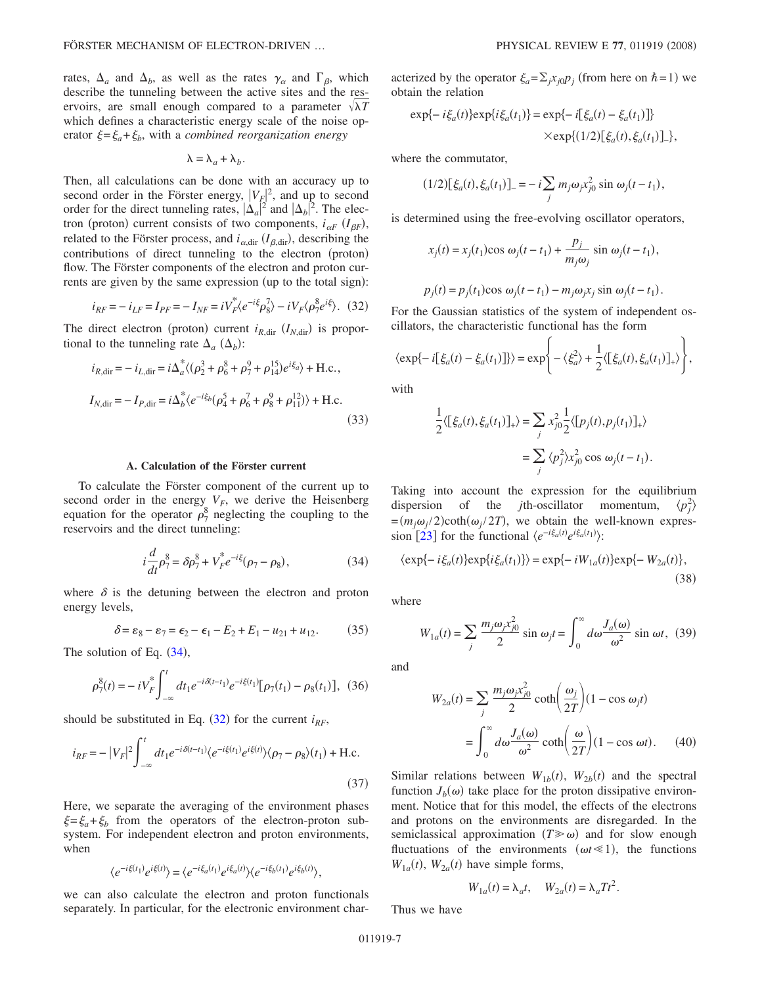rates,  $\Delta_a$  and  $\Delta_b$ , as well as the rates  $\gamma_\alpha$  and  $\Gamma_\beta$ , which describe the tunneling between the active sites and the reservoirs, are small enough compared to a parameter  $\sqrt{\lambda}T$ which defines a characteristic energy scale of the noise operator  $\xi = \xi_a + \xi_b$ , with a *combined reorganization energy* 

$$
\lambda = \lambda_a + \lambda_b.
$$

Then, all calculations can be done with an accuracy up to second order in the Förster energy,  $|V_F|^2$ , and up to second order for the direct tunneling rates,  $|\Delta_a|^2$  and  $|\Delta_b|^2$ . The electron (proton) current consists of two components,  $i_{\alpha F}$  ( $I_{\beta F}$ ), related to the Förster process, and  $i_{\alpha, \text{dir}}$  ( $I_{\beta, \text{dir}}$ ), describing the contributions of direct tunneling to the electron (proton) flow. The Förster components of the electron and proton currents are given by the same expression (up to the total sign):

$$
i_{RF} = -i_{LF} = I_{PF} = -I_{NF} = iV_F^*(e^{-i\xi}\rho_8^7) - iV_F(\rho_7^8 e^{i\xi}).
$$
 (32)

<span id="page-6-3"></span><span id="page-6-1"></span>The direct electron (proton) current  $i_{R,\text{dir}}$  ( $I_{N,\text{dir}}$ ) is proportional to the tunneling rate  $\Delta_a$  ( $\Delta_b$ ):

$$
i_{R,dir} = -i_{L,dir} = i\Delta_a^*(\rho_2^3 + \rho_6^8 + \rho_7^9 + \rho_{14}^{15})e^{i\xi_a}\rangle + \text{H.c.},
$$
  

$$
I_{N,dir} = -I_{P,dir} = i\Delta_b^*(e^{-i\xi_b}(\rho_4^5 + \rho_6^7 + \rho_8^9 + \rho_{11}^{12})\rangle + \text{H.c.}
$$
  
(33)

### **A. Calculation of the Förster current**

To calculate the Förster component of the current up to second order in the energy  $V_F$ , we derive the Heisenberg equation for the operator  $\rho_7^8$  neglecting the coupling to the reservoirs and the direct tunneling:

$$
i\frac{d}{dt}\rho_7^8 = \delta\rho_7^8 + V_F^* e^{-i\xi} (\rho_7 - \rho_8),\tag{34}
$$

<span id="page-6-0"></span>where  $\delta$  is the detuning between the electron and proton energy levels,

$$
\delta = \varepsilon_8 - \varepsilon_7 = \varepsilon_2 - \varepsilon_1 - E_2 + E_1 - u_{21} + u_{12}.\tag{35}
$$

<span id="page-6-4"></span>The solution of Eq.  $(34)$  $(34)$  $(34)$ ,

$$
\rho_7^8(t) = -iV_F^* \int_{-\infty}^t dt_1 e^{-i\delta(t-t_1)} e^{-i\xi(t_1)} [\rho_7(t_1) - \rho_8(t_1)], \quad (36)
$$

should be substituted in Eq.  $(32)$  $(32)$  $(32)$  for the current  $i_{RF}$ ,

<span id="page-6-2"></span>
$$
i_{RF} = -|V_F|^2 \int_{-\infty}^t dt_1 e^{-i\delta(t-t_1)} \langle e^{-i\xi(t_1)} e^{i\xi(t)} \rangle \langle \rho_7 - \rho_8 \rangle (t_1) + \text{H.c.}
$$
\n(37)

Here, we separate the averaging of the environment phases  $\xi = \xi_a + \xi_b$  from the operators of the electron-proton subsystem. For independent electron and proton environments, when

$$
\langle e^{-i\xi(t_1)}e^{i\xi(t)}\rangle = \langle e^{-i\xi_a(t_1)}e^{i\xi_a(t)}\rangle \langle e^{-i\xi_b(t_1)}e^{i\xi_b(t)}\rangle,
$$

we can also calculate the electron and proton functionals separately. In particular, for the electronic environment char-

acterized by the operator  $\xi_a = \sum_j x_{j0} p_j$  (from here on  $\hbar = 1$ ) we obtain the relation

$$
\exp\{-i\xi_a(t)\}\exp\{i\xi_a(t_1)\} = \exp\{-i[\xi_a(t) - \xi_a(t_1)]\}
$$
  
 
$$
\times \exp\{(1/2)[\xi_a(t), \xi_a(t_1)]_-\},
$$

where the commutator,

$$
(1/2)[\xi_a(t), \xi_a(t_1)]_ = -i \sum_j m_j \omega_j x_{j0}^2 \sin \omega_j(t - t_1),
$$

is determined using the free-evolving oscillator operators,

$$
x_j(t) = x_j(t_1)\cos \omega_j(t - t_1) + \frac{p_j}{m_j\omega_j}\sin \omega_j(t - t_1),
$$
  

$$
p_j(t) = p_j(t_1)\cos \omega_j(t - t_1) - m_j\omega_jx_j\sin \omega_j(t - t_1).
$$

For the Gaussian statistics of the system of independent oscillators, the characteristic functional has the form

$$
\langle \exp\{-i[\xi_a(t)-\xi_a(t_1)]\}\rangle = \exp\left\{-\langle \xi_a^2\rangle + \frac{1}{2}\langle [\xi_a(t),\xi_a(t_1)]_+\rangle\right\},
$$

with

$$
\frac{1}{2}\langle \left[\xi_a(t), \xi_a(t_1)\right]_+\rangle = \sum_j x_{j0}^2 \frac{1}{2} \langle \left[p_j(t), p_j(t_1)\right]_+\rangle
$$

$$
= \sum_j \langle p_j^2 \rangle x_{j0}^2 \cos \omega_j(t - t_1).
$$

Taking into account the expression for the equilibrium dispersion of the *j*th-oscillator momentum,  $\binom{2}{i}$  $=(m_j\omega_j/2)\coth(\omega_j/2T)$ , we obtain the well-known expres-sion [[23](#page-12-14)] for the functional  $\langle e^{-i\xi_a(t)} e^{i\xi_a(t_1)} \rangle$ :

$$
\langle \exp\{-i\xi_a(t)\} \exp\{i\xi_a(t_1)\}\rangle = \exp\{-iW_{1a}(t)\} \exp\{-W_{2a}(t)\},\tag{38}
$$

where

$$
W_{1a}(t) = \sum_{j} \frac{m_j \omega_j x_{j0}^2}{2} \sin \omega_j t = \int_0^\infty d\omega \frac{J_a(\omega)}{\omega^2} \sin \omega t, \tag{39}
$$

and

$$
W_{2a}(t) = \sum_{j} \frac{m_j \omega_j x_{j0}^2}{2} \coth\left(\frac{\omega_j}{2T}\right) (1 - \cos \omega_j t)
$$

$$
= \int_0^\infty d\omega \frac{J_a(\omega)}{\omega^2} \coth\left(\frac{\omega}{2T}\right) (1 - \cos \omega t). \quad (40)
$$

Similar relations between  $W_{1b}(t)$ ,  $W_{2b}(t)$  and the spectral function  $J_b(\omega)$  take place for the proton dissipative environment. Notice that for this model, the effects of the electrons and protons on the environments are disregarded. In the semiclassical approximation  $(T \ge \omega)$  and for slow enough fluctuations of the environments  $(\omega t \ll 1)$ , the functions  $W_{1a}(t)$ ,  $W_{2a}(t)$  have simple forms,

$$
W_{1a}(t) = \lambda_a t, \quad W_{2a}(t) = \lambda_a T t^2.
$$

Thus we have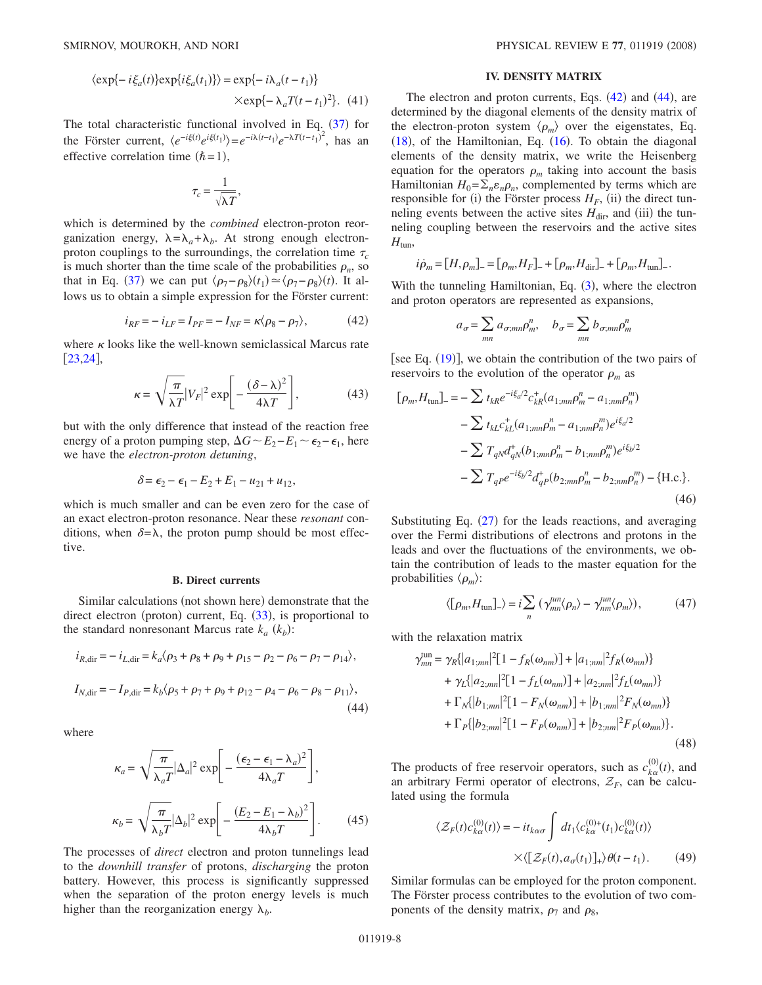<span id="page-7-2"></span>
$$
\langle \exp\{-i\xi_a(t)\} \exp\{i\xi_a(t_1)\}\rangle = \exp\{-i\lambda_a(t-t_1)\}\n\n\times \exp\{-\lambda_a T(t-t_1)^2\}.
$$
 (41)

The total characteristic functional involved in Eq. ([37](#page-6-2)) for the Förster current,  $\langle e^{-i\xi(t)}e^{i\xi(t_1)}\rangle = e^{-i\lambda(t-t_1)}e^{-\lambda T(t-t_1)^2}$ , has an effective correlation time  $(h=1)$ ,

$$
\tau_c = \frac{1}{\sqrt{\lambda T}},
$$

which is determined by the *combined* electron-proton reorganization energy,  $\lambda = \lambda_a + \lambda_b$ . At strong enough electronproton couplings to the surroundings, the correlation time  $\tau_c$ is much shorter than the time scale of the probabilities  $\rho_n$ , so that in Eq. ([37](#page-6-2)) we can put  $\langle \rho_7 - \rho_8 \rangle(t_1) \simeq \langle \rho_7 - \rho_8 \rangle(t)$ . It allows us to obtain a simple expression for the Förster current:

$$
i_{RF} = -i_{LF} = I_{PF} = -I_{NF} = \kappa \langle \rho_8 - \rho_7 \rangle, \tag{42}
$$

<span id="page-7-3"></span><span id="page-7-0"></span>where  $\kappa$  looks like the well-known semiclassical Marcus rate  $[23, 24]$  $[23, 24]$  $[23, 24]$ ,

$$
\kappa = \sqrt{\frac{\pi}{\lambda T}} |V_F|^2 \exp\left[-\frac{(\delta - \lambda)^2}{4\lambda T}\right],\tag{43}
$$

but with the only difference that instead of the reaction free energy of a proton pumping step,  $\Delta G \sim E_2 - E_1 \sim \epsilon_2 - \epsilon_1$ , here we have the *electron-proton detuning*,

$$
\delta = \epsilon_2 - \epsilon_1 - E_2 + E_1 - u_{21} + u_{12},
$$

which is much smaller and can be even zero for the case of an exact electron-proton resonance. Near these *resonant* conditions, when  $\delta = \lambda$ , the proton pump should be most effective.

#### **B. Direct currents**

Similar calculations (not shown here) demonstrate that the direct electron (proton) current, Eq. ([33](#page-6-3)), is proportional to the standard nonresonant Marcus rate  $k_a$   $(k_b)$ :

<span id="page-7-1"></span>
$$
i_{R,dir} = -i_{L,dir} = k_a \langle \rho_3 + \rho_8 + \rho_9 + \rho_{15} - \rho_2 - \rho_6 - \rho_7 - \rho_{14} \rangle,
$$
  
\n
$$
I_{N,dir} = -I_{P,dir} = k_b \langle \rho_5 + \rho_7 + \rho_9 + \rho_{12} - \rho_4 - \rho_6 - \rho_8 - \rho_{11} \rangle,
$$
\n(44)

<span id="page-7-4"></span>where

$$
\kappa_a = \sqrt{\frac{\pi}{\lambda_a T}} |\Delta_a|^2 \exp\left[ -\frac{(\epsilon_2 - \epsilon_1 - \lambda_a)^2}{4\lambda_a T} \right],
$$

$$
\kappa_b = \sqrt{\frac{\pi}{\lambda_b T}} |\Delta_b|^2 \exp\left[ -\frac{(E_2 - E_1 - \lambda_b)^2}{4\lambda_b T} \right].
$$
(45)

The processes of *direct* electron and proton tunnelings lead to the *downhill transfer* of protons, *discharging* the proton battery. However, this process is significantly suppressed when the separation of the proton energy levels is much higher than the reorganization energy  $\lambda_b$ .

# **IV. DENSITY MATRIX**

The electron and proton currents, Eqs.  $(42)$  $(42)$  $(42)$  and  $(44)$  $(44)$  $(44)$ , are determined by the diagonal elements of the density matrix of the electron-proton system  $\langle \rho_m \rangle$  over the eigenstates, Eq.  $(18)$  $(18)$  $(18)$ , of the Hamiltonian, Eq.  $(16)$  $(16)$  $(16)$ . To obtain the diagonal elements of the density matrix, we write the Heisenberg equation for the operators  $\rho_m$  taking into account the basis Hamiltonian  $H_0 = \sum_n \varepsilon_n \rho_n$ , complemented by terms which are responsible for (i) the Förster process  $H_F$ , (ii) the direct tunneling events between the active sites  $H_{\text{dir}}$ , and (iii) the tunneling coupling between the reservoirs and the active sites  $H_{\text{tun}}$ 

$$
i\rho_m = [H, \rho_m]_- = [\rho_m, H_F]_- + [\rho_m, H_{\text{dir}}]_- + [\rho_m, H_{\text{tun}}]_-.
$$

With the tunneling Hamiltonian, Eq.  $(3)$  $(3)$  $(3)$ , where the electron and proton operators are represented as expansions,

$$
a_{\sigma} = \sum_{mn} a_{\sigma;mn} \rho_m^n, \quad b_{\sigma} = \sum_{mn} b_{\sigma;mn} \rho_m^n
$$

[see Eq.  $(19)$  $(19)$  $(19)$ ], we obtain the contribution of the two pairs of reservoirs to the evolution of the operator  $\rho_m$  as

$$
[\rho_m, H_{\text{tun}}]_{-} = -\sum t_{kR} e^{-i\xi_d/2} c_{kR}^{+} (a_{1;mn}\rho_m^n - a_{1;nm}\rho_n^m)
$$
  

$$
-\sum t_{kL} c_{kL}^{+} (a_{1;mn}\rho_m^n - a_{1;nm}\rho_m^m) e^{i\xi_d/2}
$$
  

$$
-\sum T_{qN} d_{qN}^{+} (b_{1;mn}\rho_m^n - b_{1;nm}\rho_m^m) e^{i\xi_b/2}
$$
  

$$
-\sum T_{qP} e^{-i\xi_b/2} d_{qP}^{+} (b_{2;mn}\rho_m^n - b_{2;nm}\rho_m^m) - \{\text{H.c.}\}.
$$
  
(46)

Substituting Eq. ([27](#page-5-1)) for the leads reactions, and averaging over the Fermi distributions of electrons and protons in the leads and over the fluctuations of the environments, we obtain the contribution of leads to the master equation for the probabilities  $\langle \rho_m \rangle$ :

$$
\langle \left[\rho_m, H_{\text{tun}}\right]_{-} \rangle = i \sum_{n} \left( \gamma_{mn}^{\text{tun}} \langle \rho_n \rangle - \gamma_{nm}^{\text{tun}} \langle \rho_m \rangle \right),\tag{47}
$$

<span id="page-7-5"></span>with the relaxation matrix

$$
\gamma_{mn}^{\text{tun}} = \gamma_R \{ |a_{1;mn}|^2 [1 - f_R(\omega_{nm})] + |a_{1;nm}|^2 f_R(\omega_{mn}) \} + \gamma_L \{ |a_{2;mn}|^2 [1 - f_L(\omega_{nm})] + |a_{2;nm}|^2 f_L(\omega_{mn}) \} + \Gamma_N \{ |b_{1;mn}|^2 [1 - F_N(\omega_{nm})] + |b_{1;nm}|^2 F_N(\omega_{mn}) \} + \Gamma_P \{ |b_{2;mn}|^2 [1 - F_P(\omega_{nm})] + |b_{2;nm}|^2 F_P(\omega_{mn}) \}.
$$
\n(48)

The products of free reservoir operators, such as  $c_{k\alpha}^{(0)}(t)$ , and an arbitrary Fermi operator of electrons,  $\mathcal{Z}_F$ , can be calculated using the formula

$$
\langle \mathcal{Z}_F(t)c_{k\alpha}^{(0)}(t)\rangle = -it_{k\alpha\sigma} \int dt_1 \langle c_{k\alpha}^{(0)+}(t_1)c_{k\alpha}^{(0)}(t)\rangle
$$

$$
\times \langle [\mathcal{Z}_F(t), a_{\sigma}(t_1)]_+ \rangle \theta(t - t_1). \tag{49}
$$

Similar formulas can be employed for the proton component. The Förster process contributes to the evolution of two components of the density matrix,  $\rho_7$  and  $\rho_8$ ,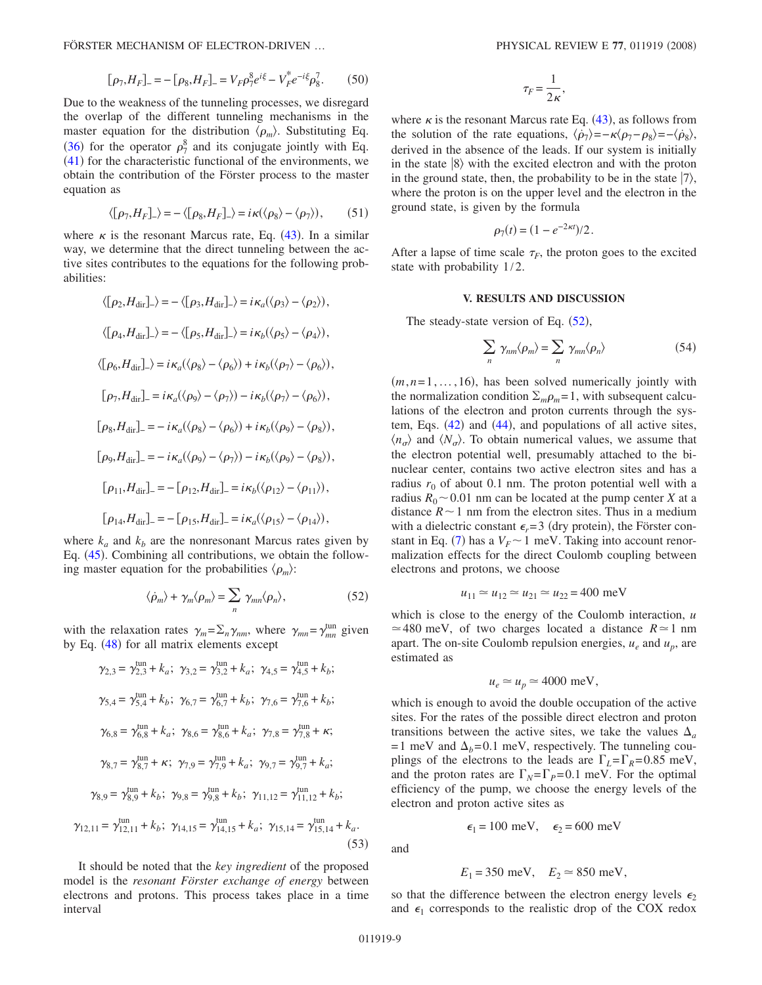FÖRSTER MECHANISM OF ELECTRON-DRIVEN ...

$$
[\rho_7, H_F]_- = -[\rho_8, H_F]_- = V_F \rho_7^8 e^{i\xi} - V_F^* e^{-i\xi} \rho_8^7.
$$
 (50)

Due to the weakness of the tunneling processes, we disregard the overlap of the different tunneling mechanisms in the master equation for the distribution  $\langle \rho_m \rangle$ . Substituting Eq. ([36](#page-6-4)) for the operator  $\rho_7^8$  and its conjugate jointly with Eq.  $(41)$  $(41)$  $(41)$  for the characteristic functional of the environments, we obtain the contribution of the Förster process to the master equation as

$$
\langle [\rho_7, H_F]_- \rangle = -\langle [\rho_8, H_F]_- \rangle = i\kappa (\langle \rho_8 \rangle - \langle \rho_7 \rangle), \qquad (51)
$$

where  $\kappa$  is the resonant Marcus rate, Eq. ([43](#page-7-3)). In a similar way, we determine that the direct tunneling between the active sites contributes to the equations for the following probabilities:

$$
\langle [\rho_2, H_{\text{dir}}]_{-}\rangle = -\langle [\rho_3, H_{\text{dir}}]_{-}\rangle = i\kappa_a (\langle \rho_3 \rangle - \langle \rho_2 \rangle),
$$
  

$$
\langle [\rho_4, H_{\text{dir}}]_{-}\rangle = -\langle [\rho_5, H_{\text{dir}}]_{-}\rangle = i\kappa_b (\langle \rho_5 \rangle - \langle \rho_4 \rangle),
$$
  

$$
\langle [\rho_6, H_{\text{dir}}]_{-}\rangle = i\kappa_a (\langle \rho_8 \rangle - \langle \rho_6 \rangle) + i\kappa_b (\langle \rho_7 \rangle - \langle \rho_6 \rangle),
$$
  

$$
[\rho_7, H_{\text{dir}}]_{-} = i\kappa_a (\langle \rho_9 \rangle - \langle \rho_7 \rangle) - i\kappa_b (\langle \rho_7 \rangle - \langle \rho_6 \rangle),
$$
  

$$
[\rho_8, H_{\text{dir}}]_{-} = -i\kappa_a (\langle \rho_8 \rangle - \langle \rho_6 \rangle) + i\kappa_b (\langle \rho_9 \rangle - \langle \rho_8 \rangle),
$$
  

$$
[\rho_9, H_{\text{dir}}]_{-} = -i\kappa_a (\langle \rho_9 \rangle - \langle \rho_7 \rangle) - i\kappa_b (\langle \rho_9 \rangle - \langle \rho_8 \rangle),
$$
  

$$
[\rho_{11}, H_{\text{dir}}]_{-} = -[\rho_{12}, H_{\text{dir}}]_{-} = i\kappa_b (\langle \rho_{12} \rangle - \langle \rho_{11} \rangle),
$$
  

$$
[\rho_{14}, H_{\text{dir}}]_{-} = -[\rho_{15}, H_{\text{dir}}]_{-} = i\kappa_a (\langle \rho_{15} \rangle - \langle \rho_{14} \rangle),
$$

where  $k_a$  and  $k_b$  are the nonresonant Marcus rates given by Eq. ([45](#page-7-4)). Combining all contributions, we obtain the following master equation for the probabilities  $\langle \rho_m \rangle$ :

$$
\langle \dot{\rho}_m \rangle + \gamma_m \langle \rho_m \rangle = \sum_n \gamma_{mn} \langle \rho_n \rangle, \tag{52}
$$

<span id="page-8-0"></span>with the relaxation rates  $\gamma_m = \sum_n \gamma_{nm}$ , where  $\gamma_{mn} = \gamma_{mn}^{\text{tun}}$  given by Eq. ([48](#page-7-5)) for all matrix elements except

$$
\gamma_{2,3} = \gamma_{2,3}^{\text{tun}} + k_a; \ \gamma_{3,2} = \gamma_{3,2}^{\text{tun}} + k_a; \ \gamma_{4,5} = \gamma_{4,5}^{\text{tun}} + k_b; \n\gamma_{5,4} = \gamma_{5,4}^{\text{tun}} + k_b; \ \gamma_{6,7} = \gamma_{6,7}^{\text{tun}} + k_b; \ \gamma_{7,6} = \gamma_{7,6}^{\text{tun}} + k_b; \n\gamma_{6,8} = \gamma_{6,8}^{\text{tun}} + k_a; \ \gamma_{8,6} = \gamma_{8,6}^{\text{tun}} + k_a; \ \gamma_{7,8} = \gamma_{7,8}^{\text{tun}} + \kappa; \n\gamma_{8,7} = \gamma_{8,7}^{\text{tun}} + \kappa; \ \gamma_{7,9} = \gamma_{7,9}^{\text{tun}} + k_a; \ \gamma_{9,7} = \gamma_{9,7}^{\text{tun}} + k_a; \n\gamma_{8,9} = \gamma_{8,9}^{\text{tun}} + k_b; \ \gamma_{9,8} = \gamma_{9,8}^{\text{tun}} + k_b; \ \gamma_{11,12} = \gamma_{11,12}^{\text{tun}} + k_b; \n\gamma_{12,11} = \gamma_{12,11}^{\text{tun}} + k_b; \ \gamma_{14,15} = \gamma_{14,15}^{\text{tun}} + k_a; \ \gamma_{15,14} = \gamma_{15,14}^{\text{tun}} + k_a.
$$
\n(53)

It should be noted that the *key ingredient* of the proposed model is the *resonant Förster exchange of energy* between electrons and protons. This process takes place in a time interval

$$
\tau_F = \frac{1}{2\kappa},
$$

where  $\kappa$  is the resonant Marcus rate Eq. ([43](#page-7-3)), as follows from the solution of the rate equations,  $\langle \dot{\rho}_7 \rangle = -\kappa \langle \rho_7 - \rho_8 \rangle = -\langle \dot{\rho}_8 \rangle$ , derived in the absence of the leads. If our system is initially in the state  $|8\rangle$  with the excited electron and with the proton in the ground state, then, the probability to be in the state  $|7\rangle$ , where the proton is on the upper level and the electron in the ground state, is given by the formula

$$
\rho_7(t) = (1 - e^{-2\kappa t})/2.
$$

After a lapse of time scale  $\tau_F$ , the proton goes to the excited state with probability 1/2.

#### **V. RESULTS AND DISCUSSION**

The steady-state version of Eq.  $(52)$  $(52)$  $(52)$ ,

$$
\sum_{n} \gamma_{nm} \langle \rho_m \rangle = \sum_{n} \gamma_{mn} \langle \rho_n \rangle \tag{54}
$$

 $(m, n=1, \ldots, 16)$ , has been solved numerically jointly with the normalization condition  $\Sigma_m \rho_m = 1$ , with subsequent calculations of the electron and proton currents through the system, Eqs.  $(42)$  $(42)$  $(42)$  and  $(44)$  $(44)$  $(44)$ , and populations of all active sites,  $\langle n_{\sigma} \rangle$  and  $\langle N_{\sigma} \rangle$ . To obtain numerical values, we assume that the electron potential well, presumably attached to the binuclear center, contains two active electron sites and has a radius  $r_0$  of about 0.1 nm. The proton potential well with a radius  $R_0 \sim 0.01$  nm can be located at the pump center *X* at a distance  $R \sim 1$  nm from the electron sites. Thus in a medium with a dielectric constant  $\epsilon_r = 3$  (dry protein), the Förster con-stant in Eq. ([7](#page-2-4)) has a  $V_F \sim 1$  meV. Taking into account renormalization effects for the direct Coulomb coupling between electrons and protons, we choose

$$
u_{11} \simeq u_{12} \simeq u_{21} \simeq u_{22} = 400 \text{ meV}
$$

which is close to the energy of the Coulomb interaction, *u*  $\approx$  480 meV, of two charges located a distance  $R \approx 1$  nm apart. The on-site Coulomb repulsion energies,  $u_e$  and  $u_p$ , are estimated as

$$
u_e \simeq u_p \simeq 4000 \text{ meV},
$$

which is enough to avoid the double occupation of the active sites. For the rates of the possible direct electron and proton transitions between the active sites, we take the values  $\Delta_a$  $= 1$  meV and  $\Delta_b = 0.1$  meV, respectively. The tunneling couplings of the electrons to the leads are  $\Gamma_L = \Gamma_R = 0.85$  meV, and the proton rates are  $\Gamma_{N}=\Gamma_{P}=0.1$  meV. For the optimal efficiency of the pump, we choose the energy levels of the electron and proton active sites as

$$
\epsilon_1 = 100
$$
 meV,  $\epsilon_2 = 600$  meV

and

$$
E_1 = 350
$$
 meV,  $E_2 \approx 850$  meV,

so that the difference between the electron energy levels  $\epsilon_2$ and  $\epsilon_1$  corresponds to the realistic drop of the COX redox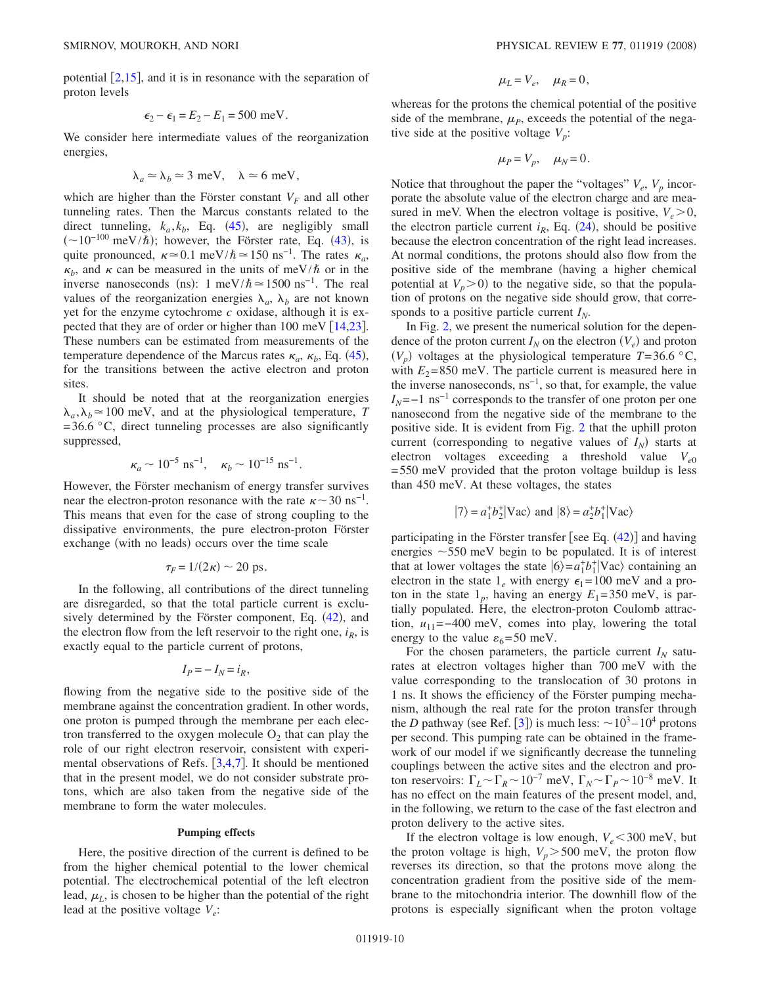potential  $\left|2,15\right|$  $\left|2,15\right|$  $\left|2,15\right|$  $\left|2,15\right|$ , and it is in resonance with the separation of proton levels

$$
\epsilon_2 - \epsilon_1 = E_2 - E_1 = 500 \text{ meV}.
$$

We consider here intermediate values of the reorganization energies,

$$
\lambda_a \simeq \lambda_b \simeq 3 \text{ meV}, \quad \lambda \simeq 6 \text{ meV},
$$

which are higher than the Förster constant  $V_F$  and all other tunneling rates. Then the Marcus constants related to the direct tunneling,  $k_a, k_b$ , Eq. ([45](#page-7-4)), are negligibly small  $(\sim 10^{-100} \text{ meV}/\hbar)$ ; however, the Förster rate, Eq. ([43](#page-7-3)), is quite pronounced,  $\kappa \approx 0.1$  meV/ $\hbar \approx 150$  ns<sup>-1</sup>. The rates  $\kappa_a$ ,  $\kappa_b$ , and  $\kappa$  can be measured in the units of meV/ $\hbar$  or in the inverse nanoseconds (ns): 1 meV/ $\hbar \approx 1500 \text{ ns}^{-1}$ . The real values of the reorganization energies  $\lambda_a$ ,  $\lambda_b$  are not known yet for the enzyme cytochrome *c* oxidase, although it is expected that they are of order or higher than 100 meV  $[14,23]$  $[14,23]$  $[14,23]$  $[14,23]$ . These numbers can be estimated from measurements of the temperature dependence of the Marcus rates  $\kappa_a$ ,  $\kappa_b$ , Eq. ([45](#page-7-4)), for the transitions between the active electron and proton sites.

It should be noted that at the reorganization energies  $\lambda_a, \lambda_b \approx 100$  meV, and at the physiological temperature, *T*  $=$  36.6  $\degree$ C, direct tunneling processes are also significantly suppressed,

$$
\kappa_a \sim 10^{-5} \text{ ns}^{-1}, \quad \kappa_b \sim 10^{-15} \text{ ns}^{-1}.
$$

However, the Förster mechanism of energy transfer survives near the electron-proton resonance with the rate  $\kappa \sim 30 \text{ ns}^{-1}$ . This means that even for the case of strong coupling to the dissipative environments, the pure electron-proton Förster exchange (with no leads) occurs over the time scale

$$
\tau_F = 1/(2\kappa) \sim 20 \text{ ps}.
$$

In the following, all contributions of the direct tunneling are disregarded, so that the total particle current is exclu-sively determined by the Förster component, Eq. ([42](#page-7-0)), and the electron flow from the left reservoir to the right one,  $i_R$ , is exactly equal to the particle current of protons,

$$
I_P = -I_N = i_R,
$$

flowing from the negative side to the positive side of the membrane against the concentration gradient. In other words, one proton is pumped through the membrane per each electron transferred to the oxygen molecule  $O_2$  that can play the role of our right electron reservoir, consistent with experimental observations of Refs.  $[3,4,7]$  $[3,4,7]$  $[3,4,7]$  $[3,4,7]$  $[3,4,7]$ . It should be mentioned that in the present model, we do not consider substrate protons, which are also taken from the negative side of the membrane to form the water molecules.

## **Pumping effects**

Here, the positive direction of the current is defined to be from the higher chemical potential to the lower chemical potential. The electrochemical potential of the left electron lead,  $\mu_L$ , is chosen to be higher than the potential of the right lead at the positive voltage  $V_e$ :

$$
\mu_L = V_e, \quad \mu_R = 0,
$$

whereas for the protons the chemical potential of the positive side of the membrane,  $\mu_p$ , exceeds the potential of the negative side at the positive voltage  $V_p$ :

$$
\mu_P = V_p, \quad \mu_N = 0.
$$

Notice that throughout the paper the "voltages"  $V_e$ ,  $V_p$  incorporate the absolute value of the electron charge and are measured in meV. When the electron voltage is positive,  $V_e > 0$ , the electron particle current  $i_R$ , Eq.  $(24)$  $(24)$  $(24)$ , should be positive because the electron concentration of the right lead increases. At normal conditions, the protons should also flow from the positive side of the membrane (having a higher chemical potential at  $V_p > 0$ ) to the negative side, so that the population of protons on the negative side should grow, that corresponds to a positive particle current  $I_N$ .

In Fig. [2,](#page-10-0) we present the numerical solution for the dependence of the proton current  $I_N$  on the electron  $(V_e)$  and proton  $(V_p)$  voltages at the physiological temperature *T*=36.6 °C, with  $E_2$ =850 meV. The particle current is measured here in the inverse nanoseconds, ns−1, so that, for example, the value  $I_N$ =−1 ns<sup>−1</sup> corresponds to the transfer of one proton per one nanosecond from the negative side of the membrane to the positive side. It is evident from Fig. [2](#page-10-0) that the uphill proton current (corresponding to negative values of  $I_N$ ) starts at electron voltages exceeding a threshold value *Ve*<sup>0</sup> =550 meV provided that the proton voltage buildup is less than 450 meV. At these voltages, the states

$$
|7\rangle = a_1^{\dagger}b_2^{\dagger}|{\rm Vac}\rangle
$$
 and  $|8\rangle = a_2^{\dagger}b_1^{\dagger}|{\rm Vac}\rangle$ 

participating in the Förster transfer [see Eq.  $(42)$  $(42)$  $(42)$ ] and having energies  $\sim$  550 meV begin to be populated. It is of interest that at lower voltages the state  $|6\rangle = a_1^{\dagger} b_1^{\dagger} | \text{Vac} \rangle$  containing an electron in the state  $1_e$  with energy  $\epsilon_1=100$  meV and a proton in the state  $1_p$ , having an energy  $E_1 = 350$  meV, is partially populated. Here, the electron-proton Coulomb attraction,  $u_{11}$ =−400 meV, comes into play, lowering the total energy to the value  $\varepsilon_6$ =50 meV.

For the chosen parameters, the particle current  $I_N$  saturates at electron voltages higher than 700 meV with the value corresponding to the translocation of 30 protons in 1 ns. It shows the efficiency of the Förster pumping mechanism, although the real rate for the proton transfer through the *D* pathway (see Ref. [[3](#page-11-1)]) is much less:  $\sim 10^3 - 10^4$  protons per second. This pumping rate can be obtained in the framework of our model if we significantly decrease the tunneling couplings between the active sites and the electron and proton reservoirs:  $\Gamma_L \sim \Gamma_R \sim 10^{-7}$  meV,  $\Gamma_N \sim \Gamma_P \sim 10^{-8}$  meV. It has no effect on the main features of the present model, and, in the following, we return to the case of the fast electron and proton delivery to the active sites.

If the electron voltage is low enough,  $V_e < 300$  meV, but the proton voltage is high,  $V_p > 500$  meV, the proton flow reverses its direction, so that the protons move along the concentration gradient from the positive side of the membrane to the mitochondria interior. The downhill flow of the protons is especially significant when the proton voltage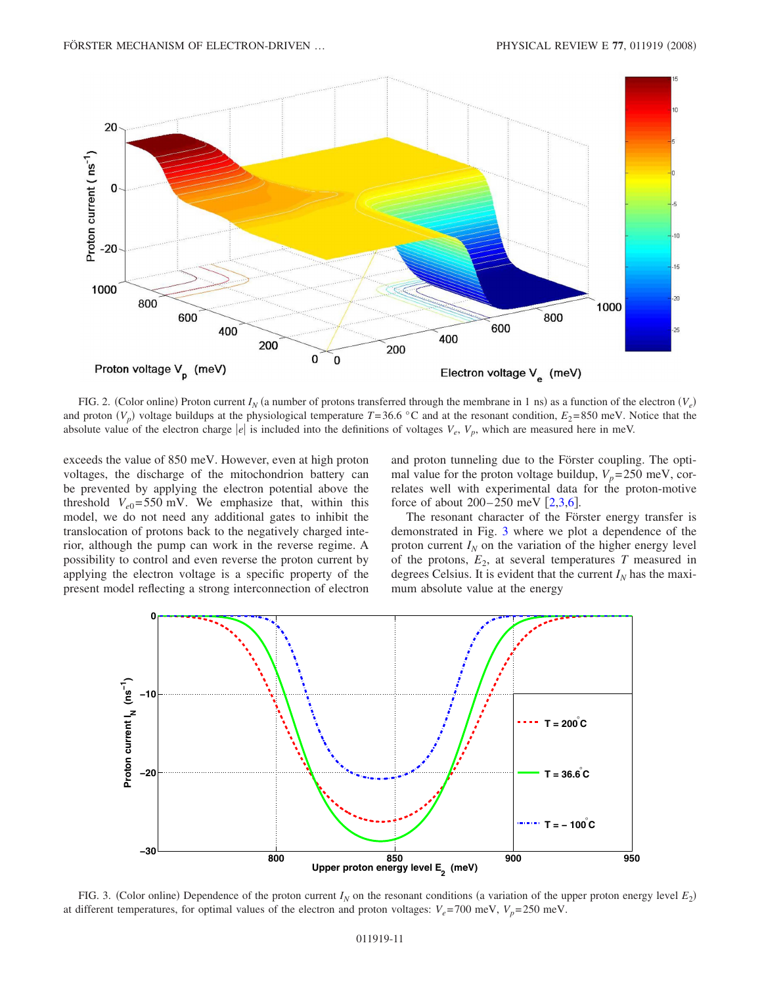<span id="page-10-0"></span>

FIG. 2. (Color online) Proton current  $I_N$  (a number of protons transferred through the membrane in 1 ns) as a function of the electron  $(V_e)$ and proton  $(V_p)$  voltage buildups at the physiological temperature  $T=36.6$  °C and at the resonant condition,  $E_2=850$  meV. Notice that the absolute value of the electron charge  $|e|$  is included into the definitions of voltages  $V_e$ ,  $V_p$ , which are measured here in meV.

exceeds the value of 850 meV. However, even at high proton voltages, the discharge of the mitochondrion battery can be prevented by applying the electron potential above the threshold  $V_{e0}$ =550 mV. We emphasize that, within this model, we do not need any additional gates to inhibit the translocation of protons back to the negatively charged interior, although the pump can work in the reverse regime. A possibility to control and even reverse the proton current by applying the electron voltage is a specific property of the present model reflecting a strong interconnection of electron and proton tunneling due to the Förster coupling. The optimal value for the proton voltage buildup,  $V_p = 250$  meV, correlates well with experimental data for the proton-motive force of about  $200-250$  $200-250$  meV  $[2,3,6]$  $[2,3,6]$  $[2,3,6]$  $[2,3,6]$ .

The resonant character of the Förster energy transfer is demonstrated in Fig. [3](#page-10-1) where we plot a dependence of the proton current  $I_N$  on the variation of the higher energy level of the protons,  $E_2$ , at several temperatures  $T$  measured in degrees Celsius. It is evident that the current  $I_N$  has the maximum absolute value at the energy

<span id="page-10-1"></span>

FIG. 3. (Color online) Dependence of the proton current  $I_N$  on the resonant conditions (a variation of the upper proton energy level  $E_2$ ) at different temperatures, for optimal values of the electron and proton voltages:  $V_e$ =700 meV,  $V_p$ =250 meV.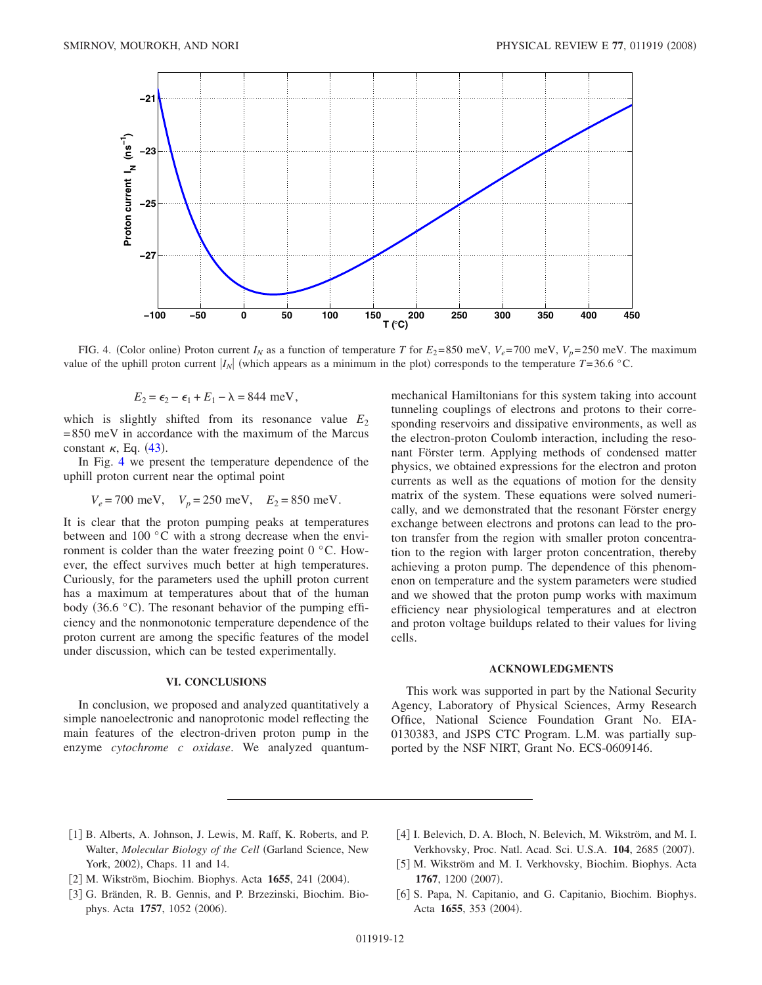<span id="page-11-6"></span>

FIG. 4. (Color online) Proton current  $I_N$  as a function of temperature *T* for  $E_2$ =850 meV,  $V_e$ =700 meV,  $V_p$ =250 meV. The maximum value of the uphill proton current  $|I_N|$  (which appears as a minimum in the plot) corresponds to the temperature  $T=36.6$  °C.

$$
E_2 = \epsilon_2 - \epsilon_1 + E_1 - \lambda = 844 \text{ meV},
$$

which is slightly shifted from its resonance value  $E_2$ =850 meV in accordance with the maximum of the Marcus constant  $\kappa$ , Eq. ([43](#page-7-3)).

In Fig. [4](#page-11-6) we present the temperature dependence of the uphill proton current near the optimal point

$$
V_e = 700
$$
 meV,  $V_p = 250$  meV,  $E_2 = 850$  meV.

It is clear that the proton pumping peaks at temperatures between and 100 °C with a strong decrease when the environment is colder than the water freezing point  $0^{\circ}$ C. However, the effect survives much better at high temperatures. Curiously, for the parameters used the uphill proton current has a maximum at temperatures about that of the human body (36.6  $\degree$ C). The resonant behavior of the pumping efficiency and the nonmonotonic temperature dependence of the proton current are among the specific features of the model under discussion, which can be tested experimentally.

## **VI. CONCLUSIONS**

In conclusion, we proposed and analyzed quantitatively a simple nanoelectronic and nanoprotonic model reflecting the main features of the electron-driven proton pump in the enzyme *cytochrome c oxidase*. We analyzed quantummechanical Hamiltonians for this system taking into account tunneling couplings of electrons and protons to their corresponding reservoirs and dissipative environments, as well as the electron-proton Coulomb interaction, including the resonant Förster term. Applying methods of condensed matter physics, we obtained expressions for the electron and proton currents as well as the equations of motion for the density matrix of the system. These equations were solved numerically, and we demonstrated that the resonant Förster energy exchange between electrons and protons can lead to the proton transfer from the region with smaller proton concentration to the region with larger proton concentration, thereby achieving a proton pump. The dependence of this phenomenon on temperature and the system parameters were studied and we showed that the proton pump works with maximum efficiency near physiological temperatures and at electron and proton voltage buildups related to their values for living cells.

#### **ACKNOWLEDGMENTS**

This work was supported in part by the National Security Agency, Laboratory of Physical Sciences, Army Research Office, National Science Foundation Grant No. EIA-0130383, and JSPS CTC Program. L.M. was partially supported by the NSF NIRT, Grant No. ECS-0609146.

- <span id="page-11-0"></span>[1] B. Alberts, A. Johnson, J. Lewis, M. Raff, K. Roberts, and P. Walter, *Molecular Biology of the Cell* Garland Science, New York, 2002), Chaps. 11 and 14.
- <span id="page-11-5"></span>[2] M. Wikström, Biochim. Biophys. Acta 1655, 241 (2004).
- <span id="page-11-1"></span>3 G. Bränden, R. B. Gennis, and P. Brzezinski, Biochim. Biophys. Acta 1757, 1052 (2006).
- <span id="page-11-2"></span>[4] I. Belevich, D. A. Bloch, N. Belevich, M. Wikström, and M. I. Verkhovsky, Proc. Natl. Acad. Sci. U.S.A. 104, 2685 (2007).
- <span id="page-11-3"></span>[5] M. Wikström and M. I. Verkhovsky, Biochim. Biophys. Acta 1767, 1200 (2007).
- <span id="page-11-4"></span>[6] S. Papa, N. Capitanio, and G. Capitanio, Biochim. Biophys. Acta 1655, 353 (2004).